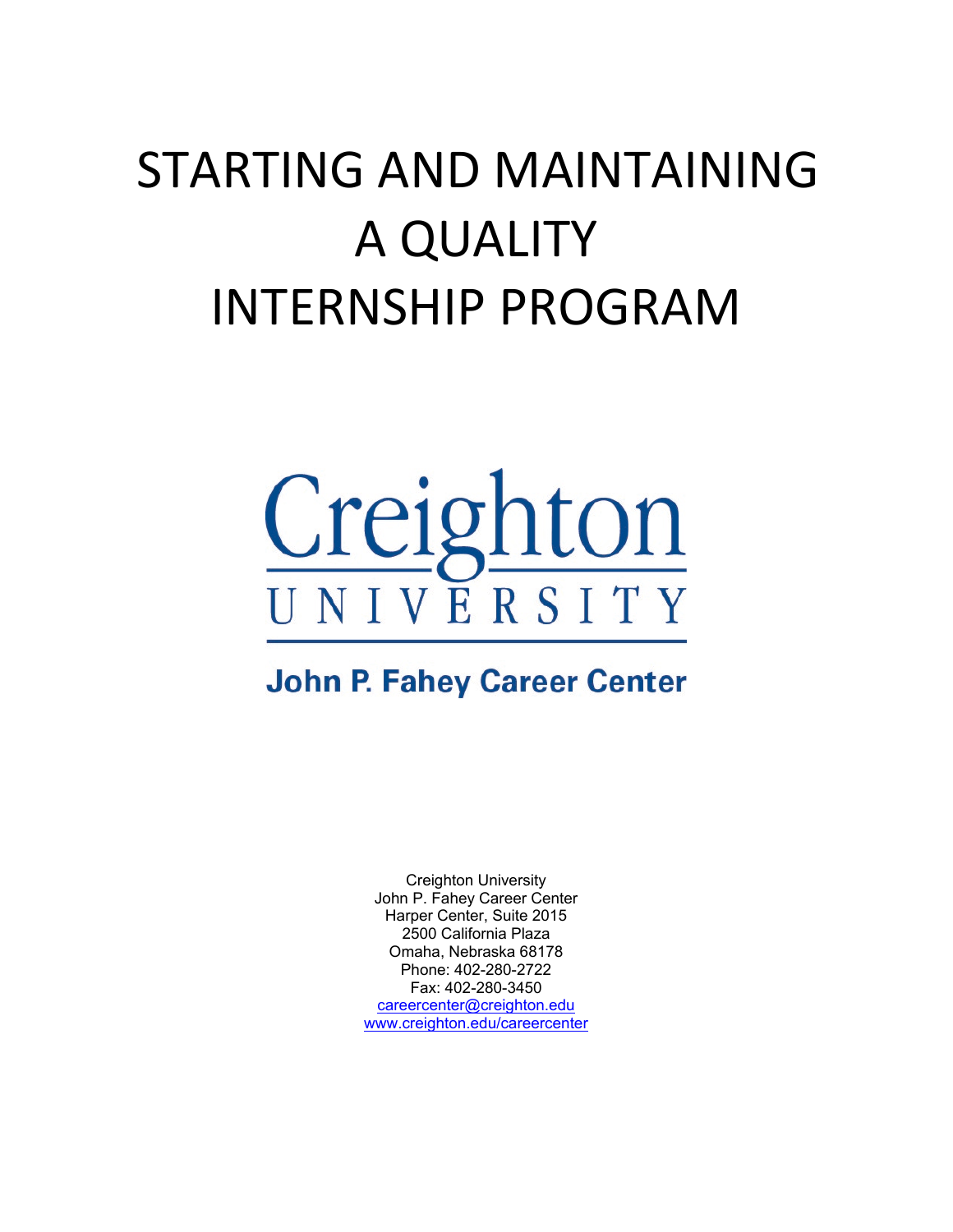# STARTING AND MAINTAINING A QUALITY INTERNSHIP PROGRAM



# **John P. Fahey Career Center**

Creighton University John P. Fahey Career Center Harper Center, Suite 2015 2500 California Plaza Omaha, Nebraska 68178 Phone: 402-280-2722 Fax: 402-280-3450 [careercenter@creighton.edu](mailto:careercenter@creighton.edu) [www.creighton.edu/careercenter](http://www.creighton.edu/careercenter)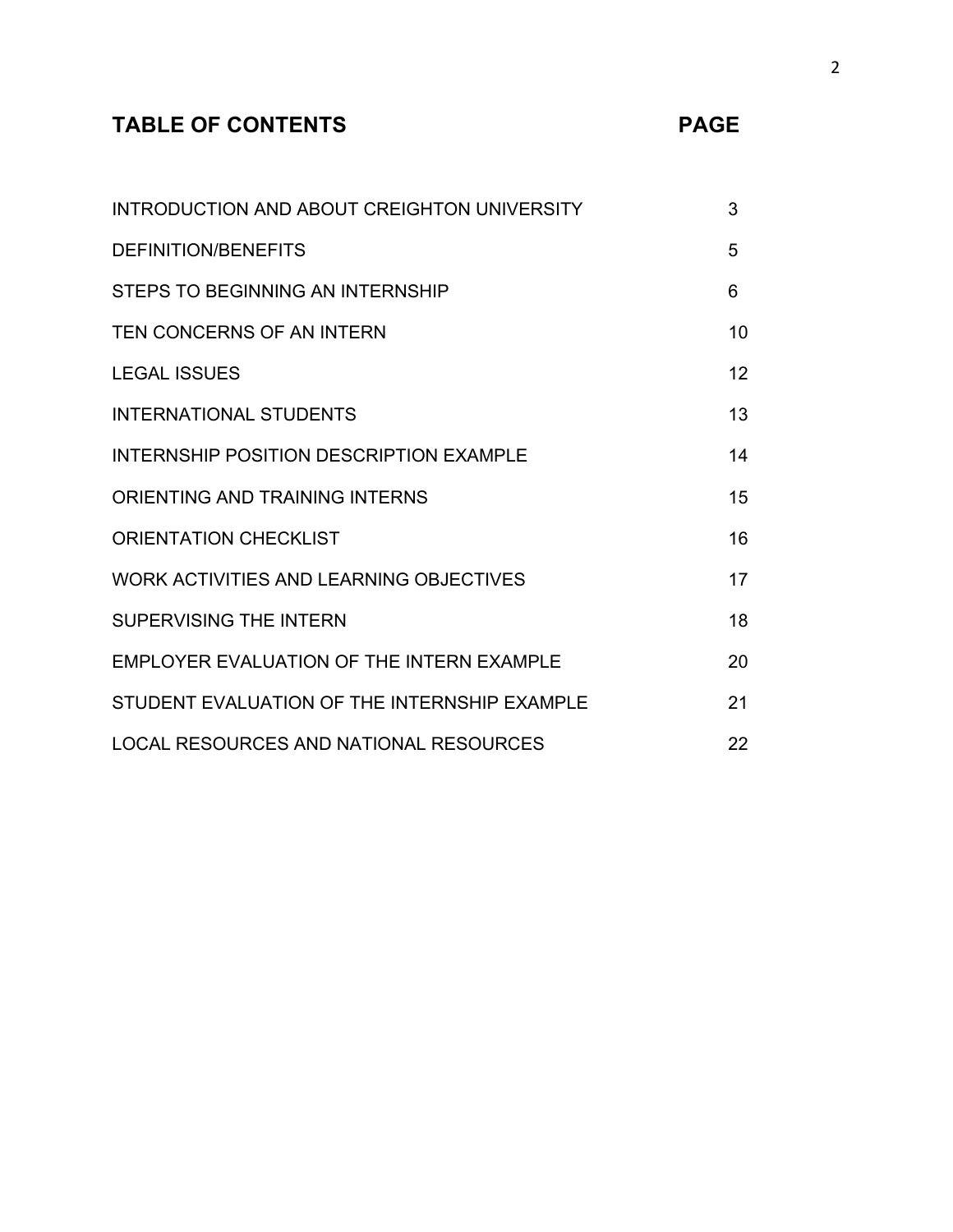# **TABLE OF CONTENTS**

|  | ۰. |  |
|--|----|--|
|  |    |  |

| INTRODUCTION AND ABOUT CREIGHTON UNIVERSITY  | 3  |
|----------------------------------------------|----|
| <b>DEFINITION/BENEFITS</b>                   | 5  |
| STEPS TO BEGINNING AN INTERNSHIP             | 6  |
| TEN CONCERNS OF AN INTERN                    | 10 |
| <b>LEGAL ISSUES</b>                          | 12 |
| <b>INTERNATIONAL STUDENTS</b>                | 13 |
| INTERNSHIP POSITION DESCRIPTION EXAMPLE      | 14 |
| ORIENTING AND TRAINING INTERNS               | 15 |
| <b>ORIENTATION CHECKLIST</b>                 | 16 |
| WORK ACTIVITIES AND LEARNING OBJECTIVES      | 17 |
| <b>SUPERVISING THE INTERN</b>                | 18 |
| EMPLOYER EVALUATION OF THE INTERN EXAMPLE    | 20 |
| STUDENT EVALUATION OF THE INTERNSHIP EXAMPLE | 21 |
| LOCAL RESOURCES AND NATIONAL RESOURCES       | 22 |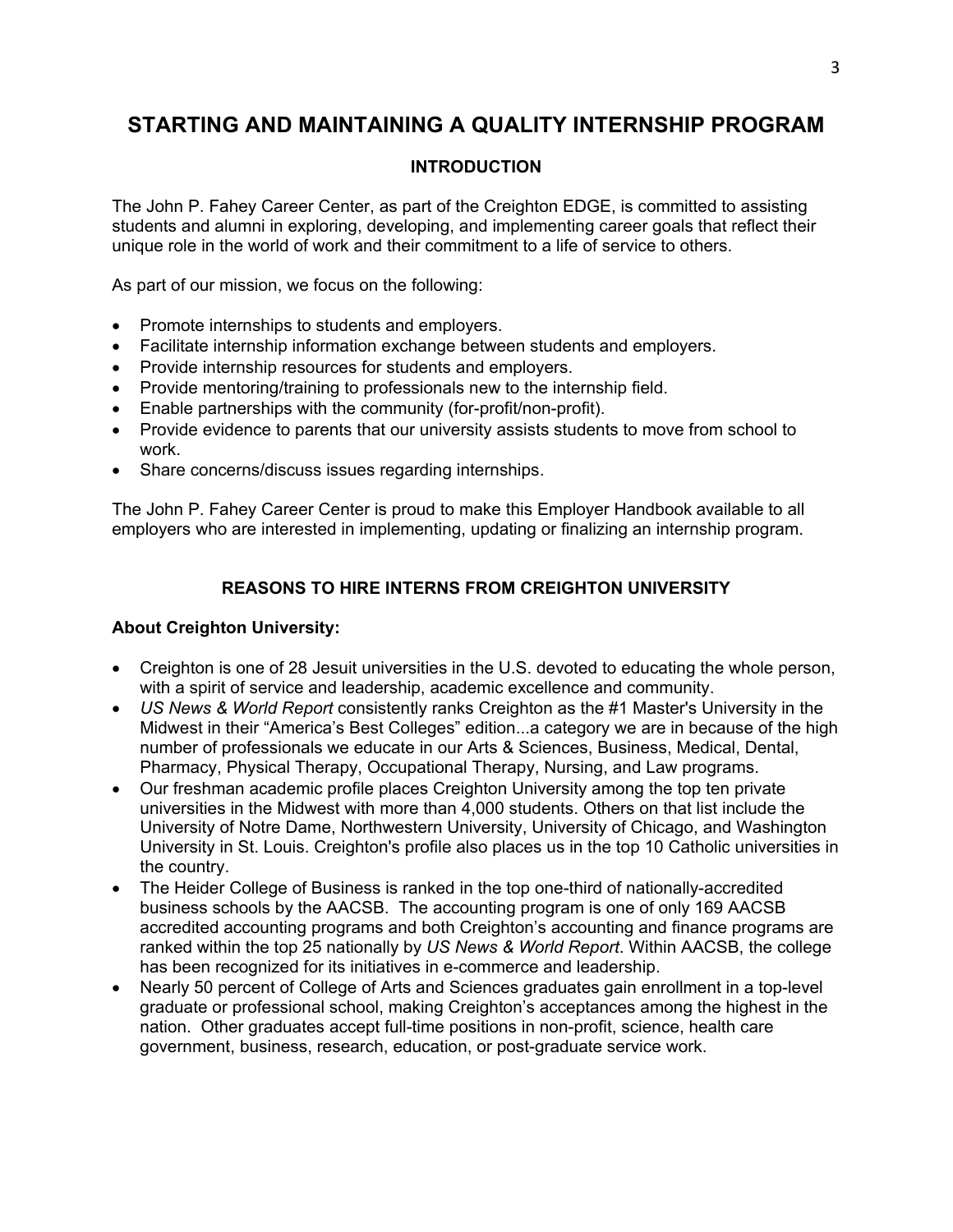# **STARTING AND MAINTAINING A QUALITY INTERNSHIP PROGRAM**

# **INTRODUCTION**

The John P. Fahey Career Center, as part of the Creighton EDGE, is committed to assisting students and alumni in exploring, developing, and implementing career goals that reflect their unique role in the world of work and their commitment to a life of service to others.

As part of our mission, we focus on the following:

- Promote internships to students and employers.
- Facilitate internship information exchange between students and employers.
- Provide internship resources for students and employers.
- Provide mentoring/training to professionals new to the internship field.
- Enable partnerships with the community (for-profit/non-profit).
- Provide evidence to parents that our university assists students to move from school to work.
- Share concerns/discuss issues regarding internships.

The John P. Fahey Career Center is proud to make this Employer Handbook available to all employers who are interested in implementing, updating or finalizing an internship program.

# **REASONS TO HIRE INTERNS FROM CREIGHTON UNIVERSITY**

## **About Creighton University:**

- Creighton is one of 28 Jesuit universities in the U.S. devoted to educating the whole person, with a spirit of service and leadership, academic excellence and community.
- *US News & World Report* consistently ranks Creighton as the #1 Master's University in the Midwest in their "America's Best Colleges" edition...a category we are in because of the high number of professionals we educate in our Arts & Sciences, Business, Medical, Dental, Pharmacy, Physical Therapy, Occupational Therapy, Nursing, and Law programs.
- Our freshman academic profile places Creighton University among the top ten private universities in the Midwest with more than 4,000 students. Others on that list include the University of Notre Dame, Northwestern University, University of Chicago, and Washington University in St. Louis. Creighton's profile also places us in the top 10 Catholic universities in the country.
- The Heider College of Business is ranked in the top one-third of nationally-accredited business schools by the AACSB. The accounting program is one of only 169 AACSB accredited accounting programs and both Creighton's accounting and finance programs are ranked within the top 25 nationally by *US News & World Report*. Within AACSB, the college has been recognized for its initiatives in e-commerce and leadership.
- Nearly 50 percent of College of Arts and Sciences graduates gain enrollment in a top-level graduate or professional school, making Creighton's acceptances among the highest in the nation. Other graduates accept full-time positions in non-profit, science, health care government, business, research, education, or post-graduate service work.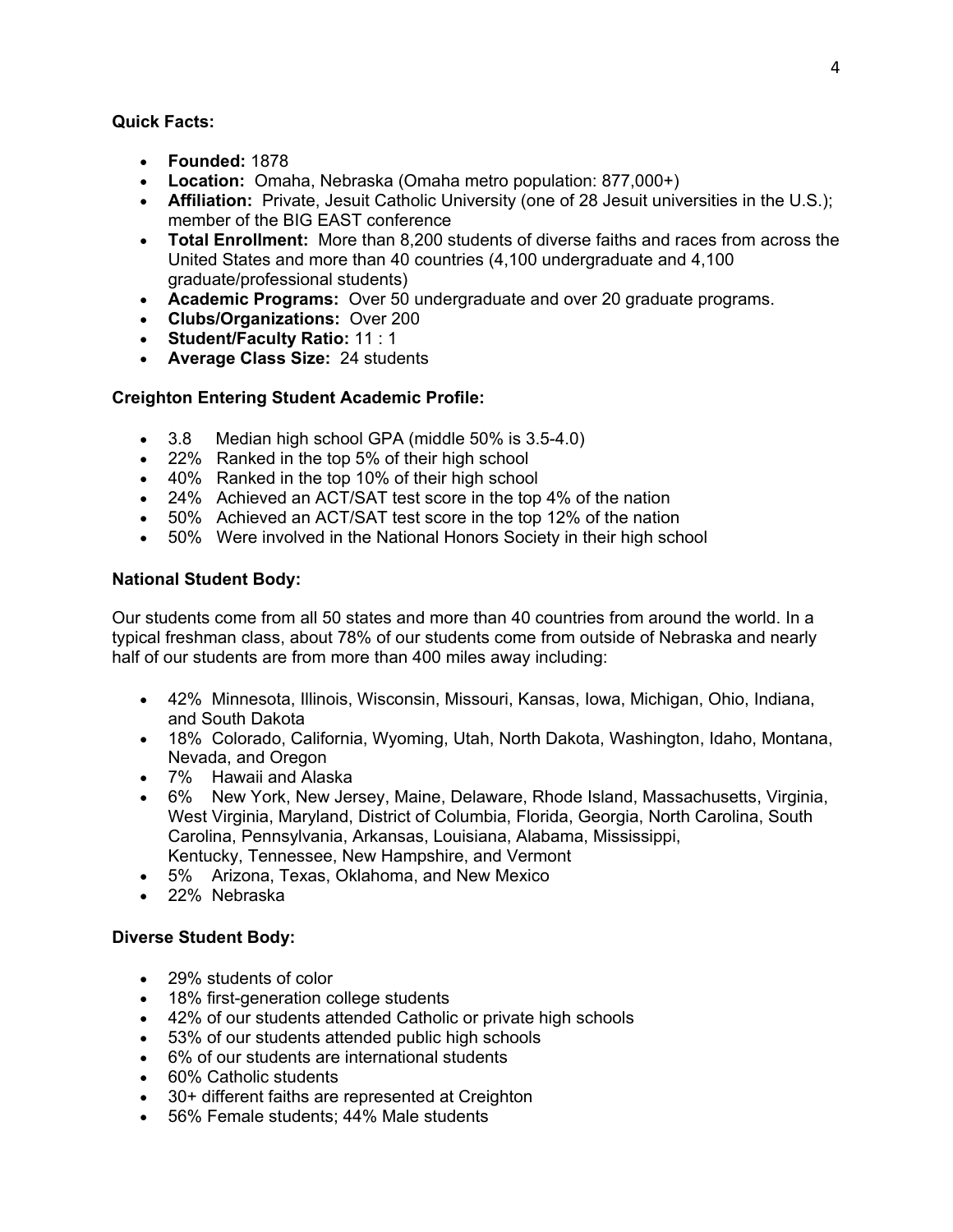#### **Quick Facts:**

- **Founded:** 1878
- **Location:** Omaha, Nebraska (Omaha metro population: 877,000+)
- **Affiliation:** Private, Jesuit Catholic University (one of 28 Jesuit universities in the U.S.); member of the BIG EAST conference
- **Total Enrollment:** More than 8,200 students of diverse faiths and races from across the United States and more than 40 countries (4,100 undergraduate and 4,100 graduate/professional students)
- **Academic Programs:** Over 50 undergraduate and over 20 graduate programs.
- **Clubs/Organizations:** Over 200
- **Student/Faculty Ratio:** 11 : 1
- **Average Class Size:** 24 students

## **Creighton Entering Student Academic Profile:**

- 3.8 Median high school GPA (middle 50% is 3.5-4.0)
- 22% Ranked in the top 5% of their high school
- 40% Ranked in the top 10% of their high school
- 24% Achieved an ACT/SAT test score in the top 4% of the nation
- 50% Achieved an ACT/SAT test score in the top 12% of the nation
- 50% Were involved in the National Honors Society in their high school

## **National Student Body:**

Our students come from all 50 states and more than 40 countries from around the world. In a typical freshman class, about 78% of our students come from outside of Nebraska and nearly half of our students are from more than 400 miles away including:

- 42% Minnesota, Illinois, Wisconsin, Missouri, Kansas, Iowa, Michigan, Ohio, Indiana, and South Dakota
- 18% Colorado, California, Wyoming, Utah, North Dakota, Washington, Idaho, Montana, Nevada, and Oregon
- 7% Hawaii and Alaska
- 6% New York, New Jersey, Maine, Delaware, Rhode Island, Massachusetts, Virginia, West Virginia, Maryland, District of Columbia, Florida, Georgia, North Carolina, South Carolina, Pennsylvania, Arkansas, Louisiana, Alabama, Mississippi, Kentucky, Tennessee, New Hampshire, and Vermont
- 5% Arizona, Texas, Oklahoma, and New Mexico
- 22% Nebraska

## **Diverse Student Body:**

- 29% students of color
- 18% first-generation college students
- 42% of our students attended Catholic or private high schools
- 53% of our students attended public high schools
- 6% of our students are international students
- 60% Catholic students
- 30+ different faiths are represented at Creighton
- 56% Female students; 44% Male students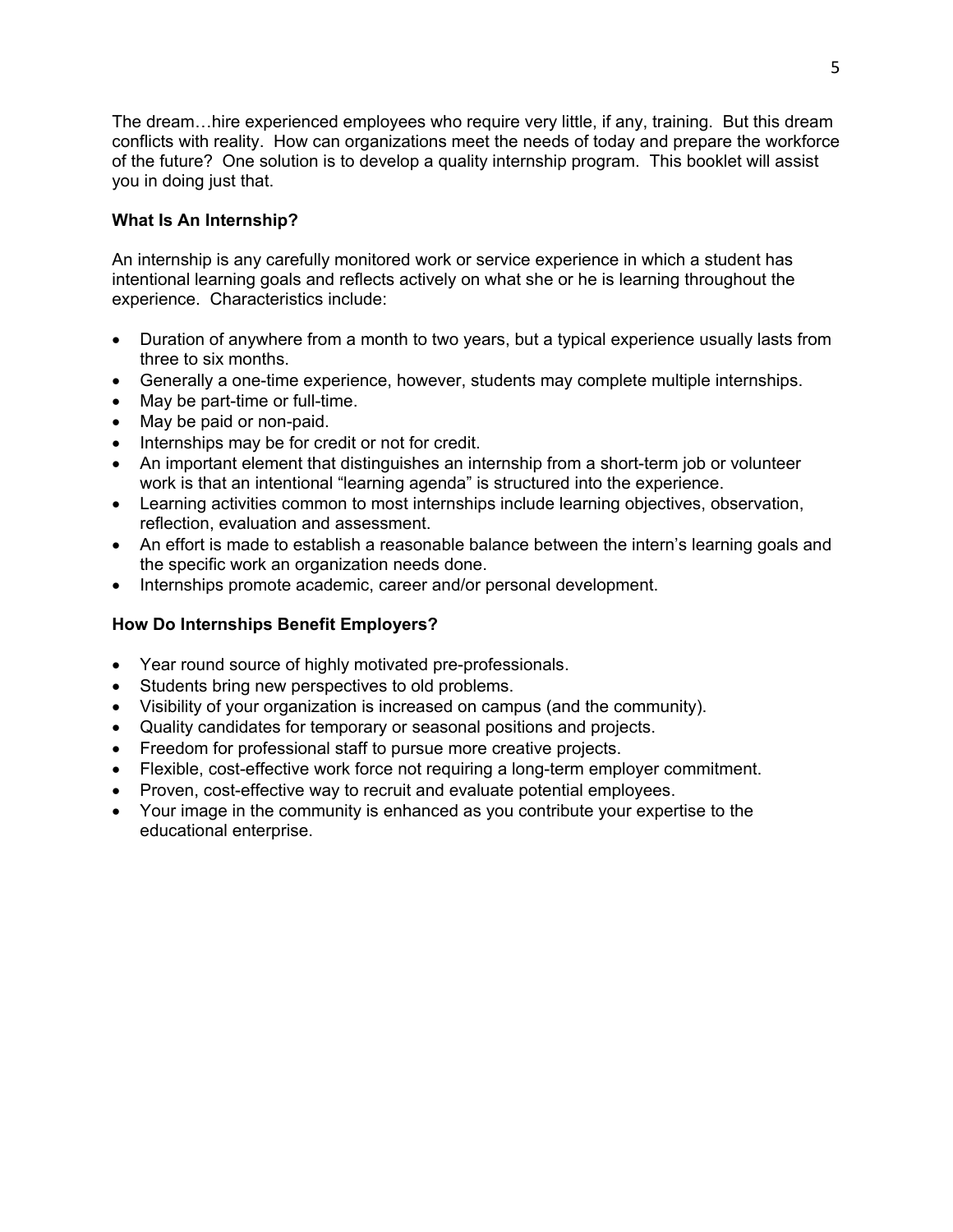The dream…hire experienced employees who require very little, if any, training. But this dream conflicts with reality. How can organizations meet the needs of today and prepare the workforce of the future? One solution is to develop a quality internship program. This booklet will assist you in doing just that.

# **What Is An Internship?**

An internship is any carefully monitored work or service experience in which a student has intentional learning goals and reflects actively on what she or he is learning throughout the experience. Characteristics include:

- Duration of anywhere from a month to two years, but a typical experience usually lasts from three to six months.
- Generally a one-time experience, however, students may complete multiple internships.
- May be part-time or full-time.
- May be paid or non-paid.
- Internships may be for credit or not for credit.
- An important element that distinguishes an internship from a short-term job or volunteer work is that an intentional "learning agenda" is structured into the experience.
- Learning activities common to most internships include learning objectives, observation, reflection, evaluation and assessment.
- An effort is made to establish a reasonable balance between the intern's learning goals and the specific work an organization needs done.
- Internships promote academic, career and/or personal development.

# **How Do Internships Benefit Employers?**

- Year round source of highly motivated pre-professionals.
- Students bring new perspectives to old problems.
- Visibility of your organization is increased on campus (and the community).
- Quality candidates for temporary or seasonal positions and projects.
- Freedom for professional staff to pursue more creative projects.
- Flexible, cost-effective work force not requiring a long-term employer commitment.
- Proven, cost-effective way to recruit and evaluate potential employees.
- Your image in the community is enhanced as you contribute your expertise to the educational enterprise.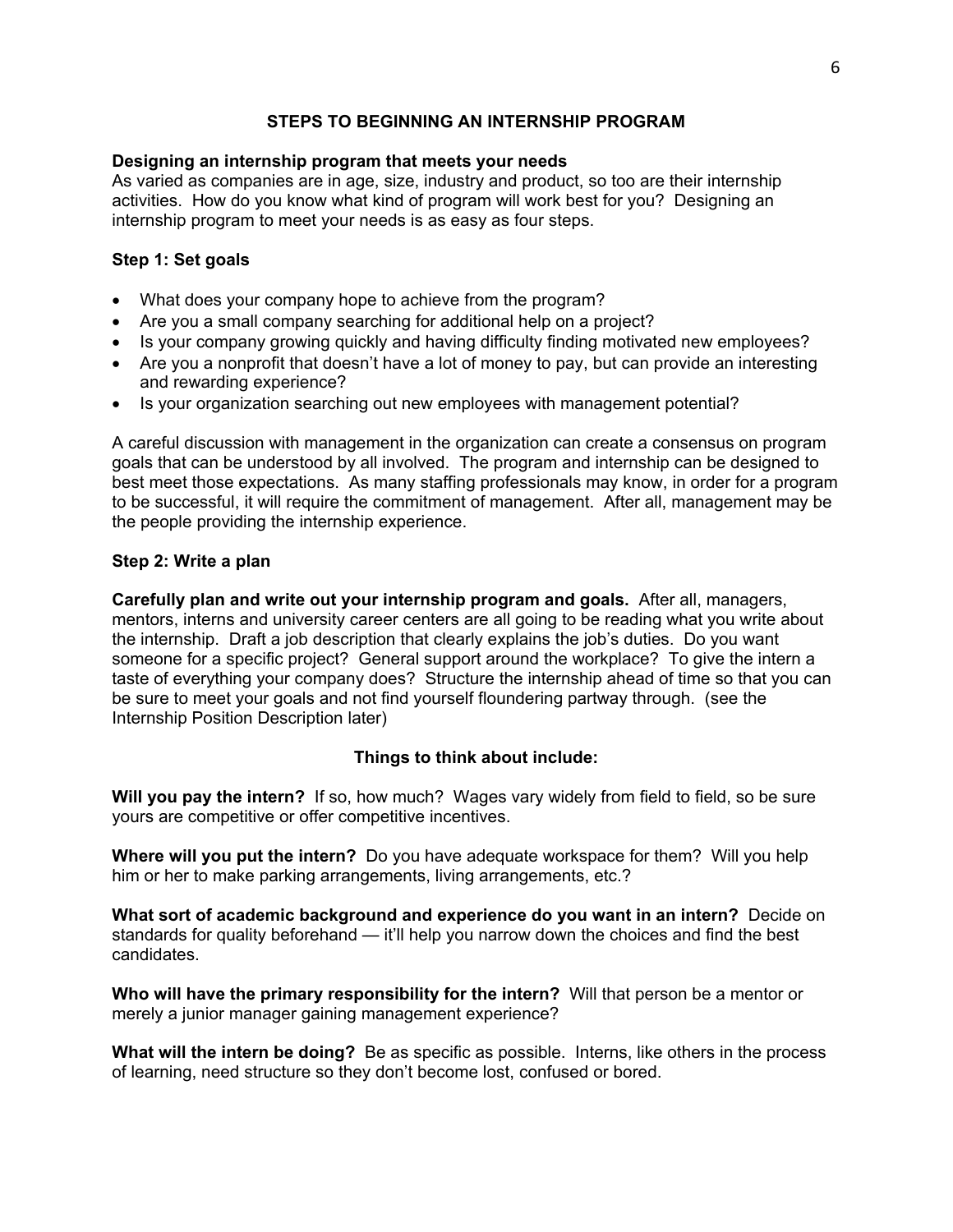# **STEPS TO BEGINNING AN INTERNSHIP PROGRAM**

#### **Designing an internship program that meets your needs**

As varied as companies are in age, size, industry and product, so too are their internship activities. How do you know what kind of program will work best for you? Designing an internship program to meet your needs is as easy as four steps.

#### **Step 1: Set goals**

- What does your company hope to achieve from the program?
- Are you a small company searching for additional help on a project?
- Is your company growing quickly and having difficulty finding motivated new employees?
- Are you a nonprofit that doesn't have a lot of money to pay, but can provide an interesting and rewarding experience?
- Is your organization searching out new employees with management potential?

A careful discussion with management in the organization can create a consensus on program goals that can be understood by all involved. The program and internship can be designed to best meet those expectations. As many staffing professionals may know, in order for a program to be successful, it will require the commitment of management. After all, management may be the people providing the internship experience.

#### **Step 2: Write a plan**

**Carefully plan and write out your internship program and goals.** After all, managers, mentors, interns and university career centers are all going to be reading what you write about the internship. Draft a job description that clearly explains the job's duties. Do you want someone for a specific project? General support around the workplace? To give the intern a taste of everything your company does? Structure the internship ahead of time so that you can be sure to meet your goals and not find yourself floundering partway through. (see the Internship Position Description later)

#### **Things to think about include:**

**Will you pay the intern?** If so, how much? Wages vary widely from field to field, so be sure yours are competitive or offer competitive incentives.

**Where will you put the intern?** Do you have adequate workspace for them? Will you help him or her to make parking arrangements, living arrangements, etc.?

**What sort of academic background and experience do you want in an intern?** Decide on standards for quality beforehand — it'll help you narrow down the choices and find the best candidates.

**Who will have the primary responsibility for the intern?** Will that person be a mentor or merely a junior manager gaining management experience?

**What will the intern be doing?** Be as specific as possible. Interns, like others in the process of learning, need structure so they don't become lost, confused or bored.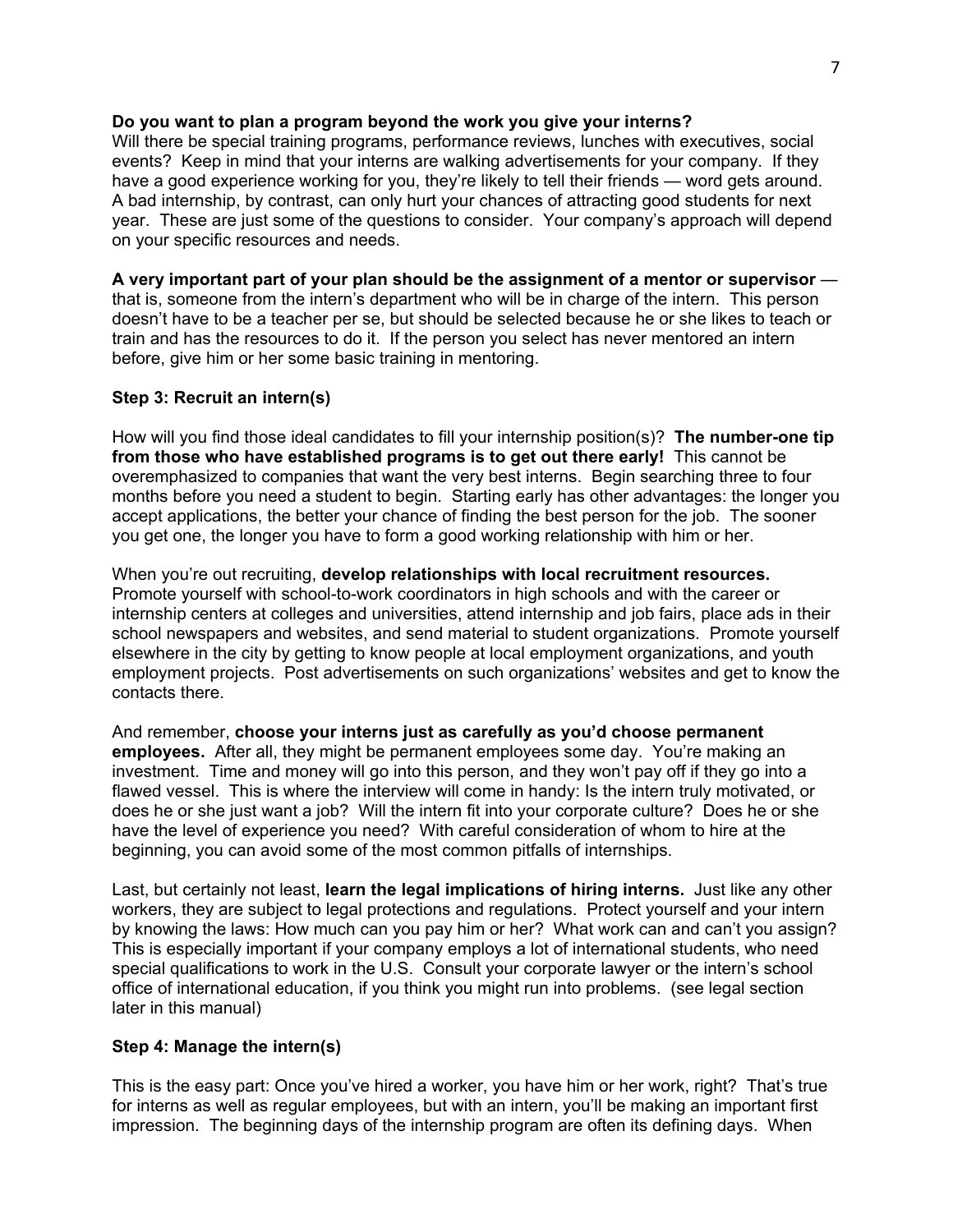#### **Do you want to plan a program beyond the work you give your interns?**

Will there be special training programs, performance reviews, lunches with executives, social events? Keep in mind that your interns are walking advertisements for your company. If they have a good experience working for you, they're likely to tell their friends — word gets around. A bad internship, by contrast, can only hurt your chances of attracting good students for next year. These are just some of the questions to consider. Your company's approach will depend on your specific resources and needs.

#### **A very important part of your plan should be the assignment of a mentor or supervisor** —

that is, someone from the intern's department who will be in charge of the intern. This person doesn't have to be a teacher per se, but should be selected because he or she likes to teach or train and has the resources to do it. If the person you select has never mentored an intern before, give him or her some basic training in mentoring.

#### **Step 3: Recruit an intern(s)**

How will you find those ideal candidates to fill your internship position(s)? **The number-one tip from those who have established programs is to get out there early!** This cannot be overemphasized to companies that want the very best interns. Begin searching three to four months before you need a student to begin. Starting early has other advantages: the longer you accept applications, the better your chance of finding the best person for the job. The sooner you get one, the longer you have to form a good working relationship with him or her.

When you're out recruiting, **develop relationships with local recruitment resources.** Promote yourself with school-to-work coordinators in high schools and with the career or internship centers at colleges and universities, attend internship and job fairs, place ads in their school newspapers and websites, and send material to student organizations. Promote yourself elsewhere in the city by getting to know people at local employment organizations, and youth employment projects. Post advertisements on such organizations' websites and get to know the contacts there.

And remember, **choose your interns just as carefully as you'd choose permanent employees.** After all, they might be permanent employees some day. You're making an investment. Time and money will go into this person, and they won't pay off if they go into a flawed vessel. This is where the interview will come in handy: Is the intern truly motivated, or does he or she just want a job? Will the intern fit into your corporate culture? Does he or she have the level of experience you need? With careful consideration of whom to hire at the beginning, you can avoid some of the most common pitfalls of internships.

Last, but certainly not least, **learn the legal implications of hiring interns.** Just like any other workers, they are subject to legal protections and regulations. Protect yourself and your intern by knowing the laws: How much can you pay him or her? What work can and can't you assign? This is especially important if your company employs a lot of international students, who need special qualifications to work in the U.S. Consult your corporate lawyer or the intern's school office of international education, if you think you might run into problems. (see legal section later in this manual)

#### **Step 4: Manage the intern(s)**

This is the easy part: Once you've hired a worker, you have him or her work, right? That's true for interns as well as regular employees, but with an intern, you'll be making an important first impression. The beginning days of the internship program are often its defining days. When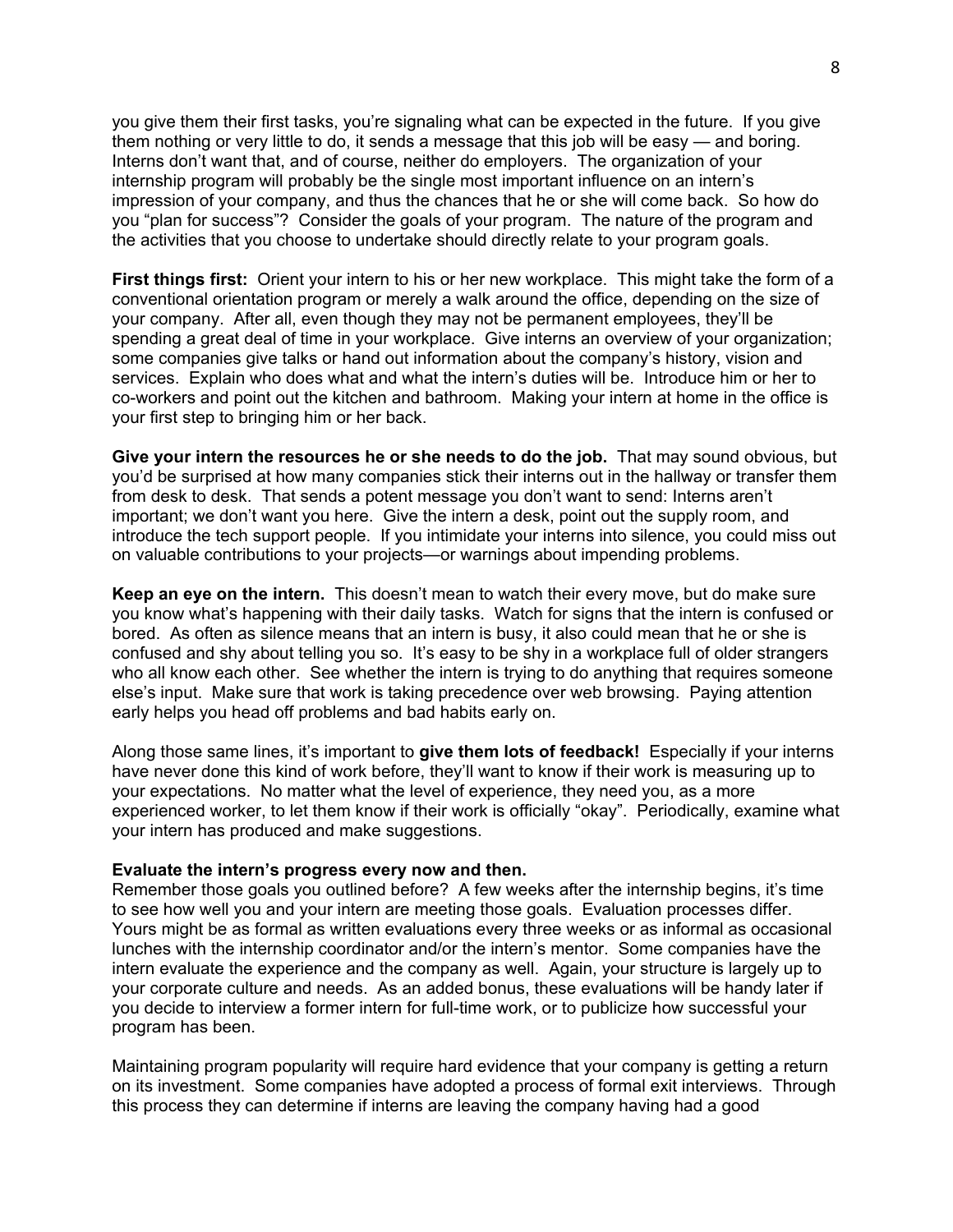you give them their first tasks, you're signaling what can be expected in the future. If you give them nothing or very little to do, it sends a message that this job will be easy — and boring. Interns don't want that, and of course, neither do employers. The organization of your internship program will probably be the single most important influence on an intern's impression of your company, and thus the chances that he or she will come back. So how do you "plan for success"? Consider the goals of your program. The nature of the program and the activities that you choose to undertake should directly relate to your program goals.

**First things first:** Orient your intern to his or her new workplace. This might take the form of a conventional orientation program or merely a walk around the office, depending on the size of your company. After all, even though they may not be permanent employees, they'll be spending a great deal of time in your workplace. Give interns an overview of your organization; some companies give talks or hand out information about the company's history, vision and services. Explain who does what and what the intern's duties will be. Introduce him or her to co-workers and point out the kitchen and bathroom. Making your intern at home in the office is your first step to bringing him or her back.

**Give your intern the resources he or she needs to do the job.** That may sound obvious, but you'd be surprised at how many companies stick their interns out in the hallway or transfer them from desk to desk. That sends a potent message you don't want to send: Interns aren't important; we don't want you here. Give the intern a desk, point out the supply room, and introduce the tech support people. If you intimidate your interns into silence, you could miss out on valuable contributions to your projects—or warnings about impending problems.

**Keep an eye on the intern.** This doesn't mean to watch their every move, but do make sure you know what's happening with their daily tasks. Watch for signs that the intern is confused or bored. As often as silence means that an intern is busy, it also could mean that he or she is confused and shy about telling you so. It's easy to be shy in a workplace full of older strangers who all know each other. See whether the intern is trying to do anything that requires someone else's input. Make sure that work is taking precedence over web browsing. Paying attention early helps you head off problems and bad habits early on.

Along those same lines, it's important to **give them lots of feedback!** Especially if your interns have never done this kind of work before, they'll want to know if their work is measuring up to your expectations. No matter what the level of experience, they need you, as a more experienced worker, to let them know if their work is officially "okay". Periodically, examine what your intern has produced and make suggestions.

#### **Evaluate the intern's progress every now and then.**

Remember those goals you outlined before? A few weeks after the internship begins, it's time to see how well you and your intern are meeting those goals. Evaluation processes differ. Yours might be as formal as written evaluations every three weeks or as informal as occasional lunches with the internship coordinator and/or the intern's mentor. Some companies have the intern evaluate the experience and the company as well. Again, your structure is largely up to your corporate culture and needs. As an added bonus, these evaluations will be handy later if you decide to interview a former intern for full-time work, or to publicize how successful your program has been.

Maintaining program popularity will require hard evidence that your company is getting a return on its investment. Some companies have adopted a process of formal exit interviews. Through this process they can determine if interns are leaving the company having had a good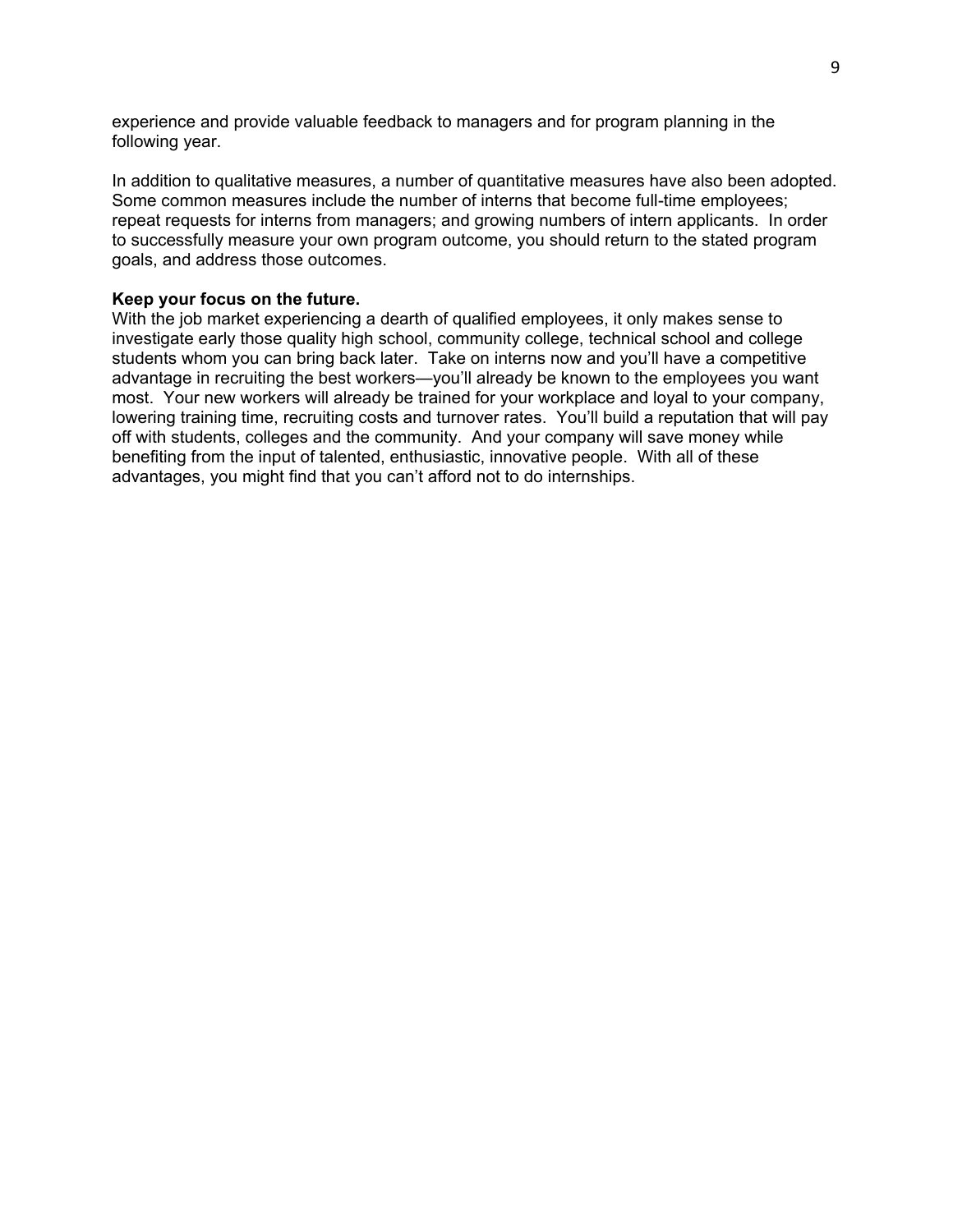experience and provide valuable feedback to managers and for program planning in the following year.

In addition to qualitative measures, a number of quantitative measures have also been adopted. Some common measures include the number of interns that become full-time employees; repeat requests for interns from managers; and growing numbers of intern applicants. In order to successfully measure your own program outcome, you should return to the stated program goals, and address those outcomes.

#### **Keep your focus on the future.**

With the job market experiencing a dearth of qualified employees, it only makes sense to investigate early those quality high school, community college, technical school and college students whom you can bring back later. Take on interns now and you'll have a competitive advantage in recruiting the best workers—you'll already be known to the employees you want most. Your new workers will already be trained for your workplace and loyal to your company, lowering training time, recruiting costs and turnover rates. You'll build a reputation that will pay off with students, colleges and the community. And your company will save money while benefiting from the input of talented, enthusiastic, innovative people. With all of these advantages, you might find that you can't afford not to do internships.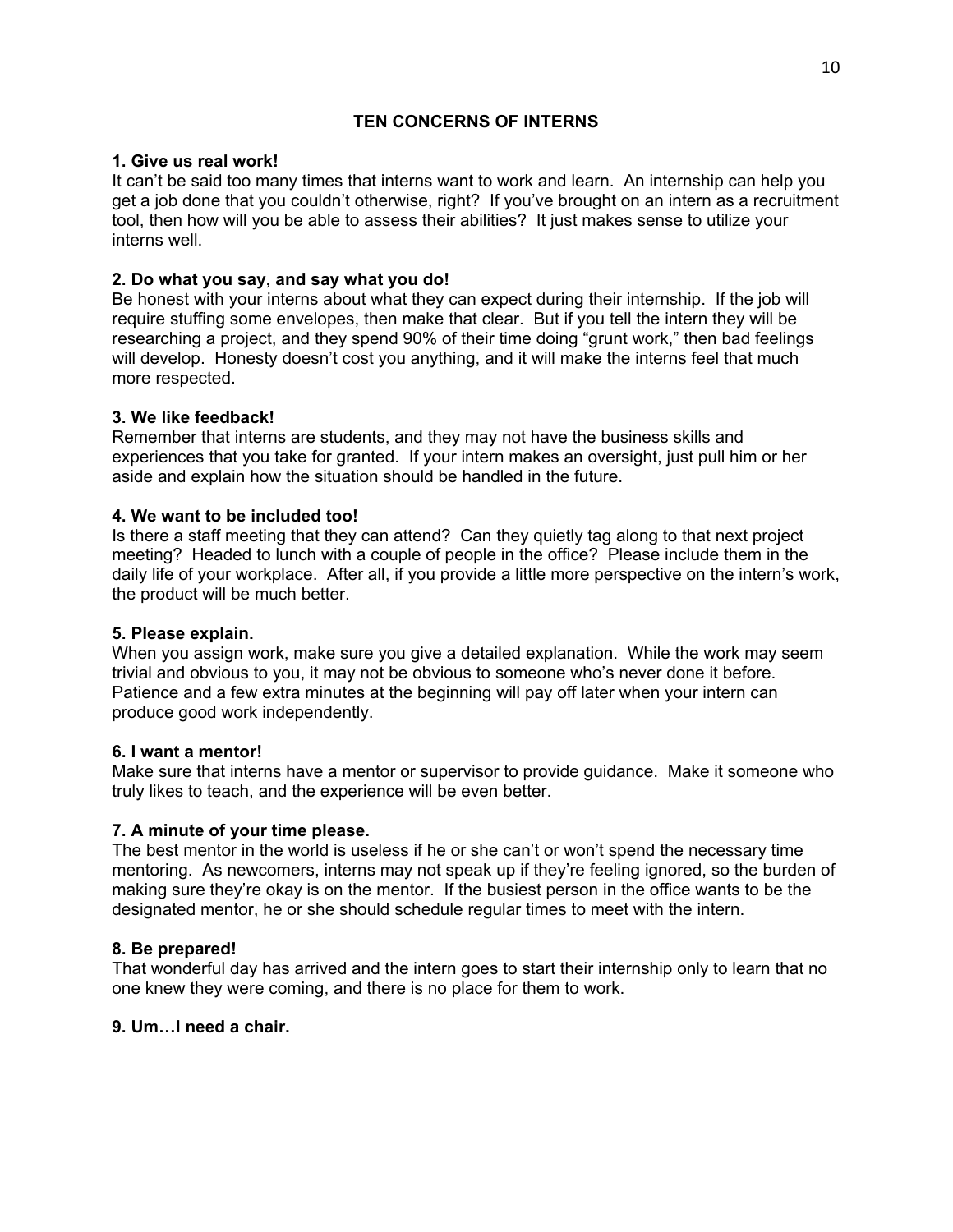## **TEN CONCERNS OF INTERNS**

#### **1. Give us real work!**

It can't be said too many times that interns want to work and learn. An internship can help you get a job done that you couldn't otherwise, right? If you've brought on an intern as a recruitment tool, then how will you be able to assess their abilities? It just makes sense to utilize your interns well.

## **2. Do what you say, and say what you do!**

Be honest with your interns about what they can expect during their internship. If the job will require stuffing some envelopes, then make that clear. But if you tell the intern they will be researching a project, and they spend 90% of their time doing "grunt work," then bad feelings will develop. Honesty doesn't cost you anything, and it will make the interns feel that much more respected.

#### **3. We like feedback!**

Remember that interns are students, and they may not have the business skills and experiences that you take for granted. If your intern makes an oversight, just pull him or her aside and explain how the situation should be handled in the future.

#### **4. We want to be included too!**

Is there a staff meeting that they can attend? Can they quietly tag along to that next project meeting? Headed to lunch with a couple of people in the office? Please include them in the daily life of your workplace. After all, if you provide a little more perspective on the intern's work, the product will be much better.

## **5. Please explain.**

When you assign work, make sure you give a detailed explanation. While the work may seem trivial and obvious to you, it may not be obvious to someone who's never done it before. Patience and a few extra minutes at the beginning will pay off later when your intern can produce good work independently.

#### **6. I want a mentor!**

Make sure that interns have a mentor or supervisor to provide guidance. Make it someone who truly likes to teach, and the experience will be even better.

## **7. A minute of your time please.**

The best mentor in the world is useless if he or she can't or won't spend the necessary time mentoring. As newcomers, interns may not speak up if they're feeling ignored, so the burden of making sure they're okay is on the mentor. If the busiest person in the office wants to be the designated mentor, he or she should schedule regular times to meet with the intern.

#### **8. Be prepared!**

That wonderful day has arrived and the intern goes to start their internship only to learn that no one knew they were coming, and there is no place for them to work.

#### **9. Um…I need a chair.**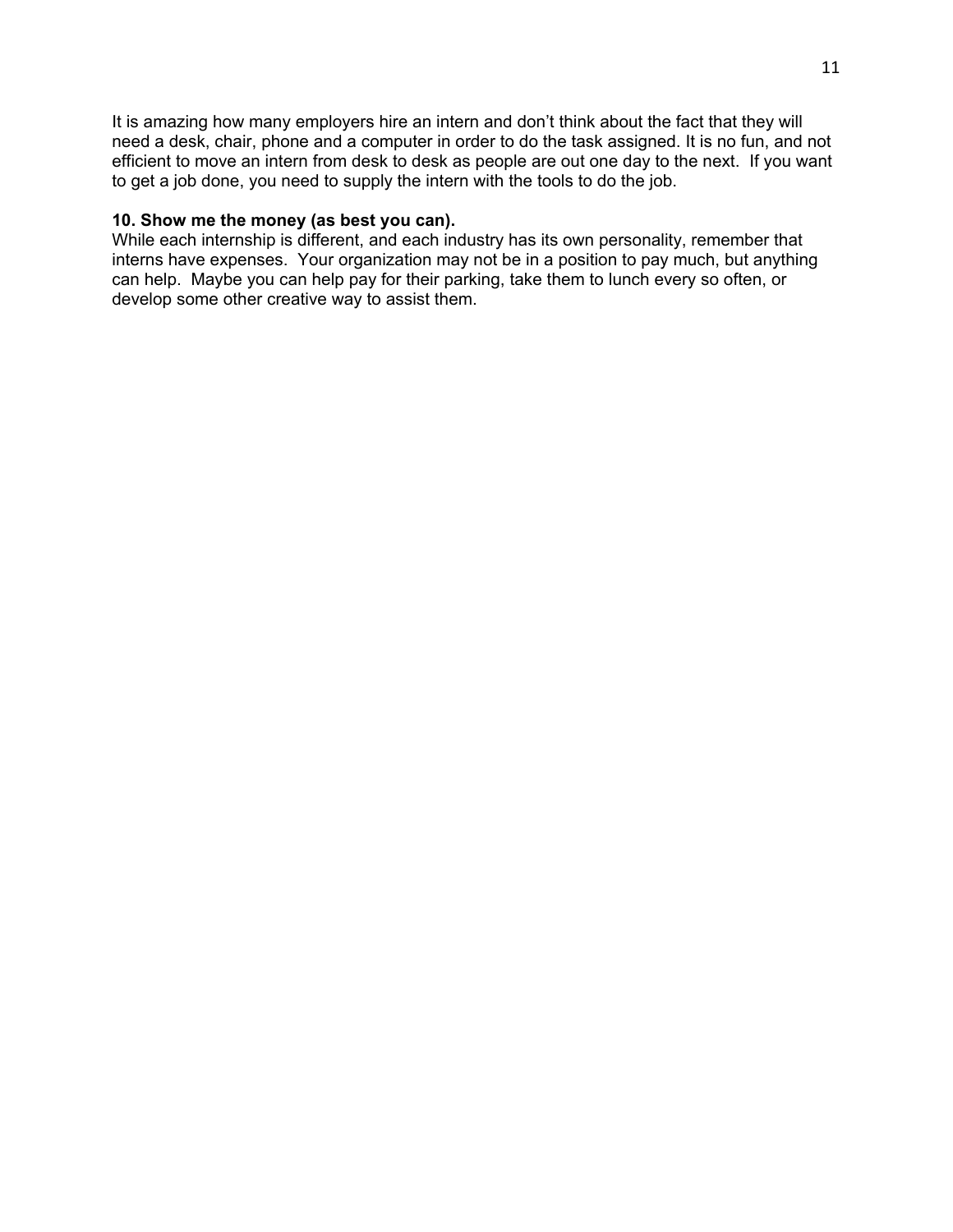It is amazing how many employers hire an intern and don't think about the fact that they will need a desk, chair, phone and a computer in order to do the task assigned. It is no fun, and not efficient to move an intern from desk to desk as people are out one day to the next. If you want to get a job done, you need to supply the intern with the tools to do the job.

#### **10. Show me the money (as best you can).**

While each internship is different, and each industry has its own personality, remember that interns have expenses. Your organization may not be in a position to pay much, but anything can help. Maybe you can help pay for their parking, take them to lunch every so often, or develop some other creative way to assist them.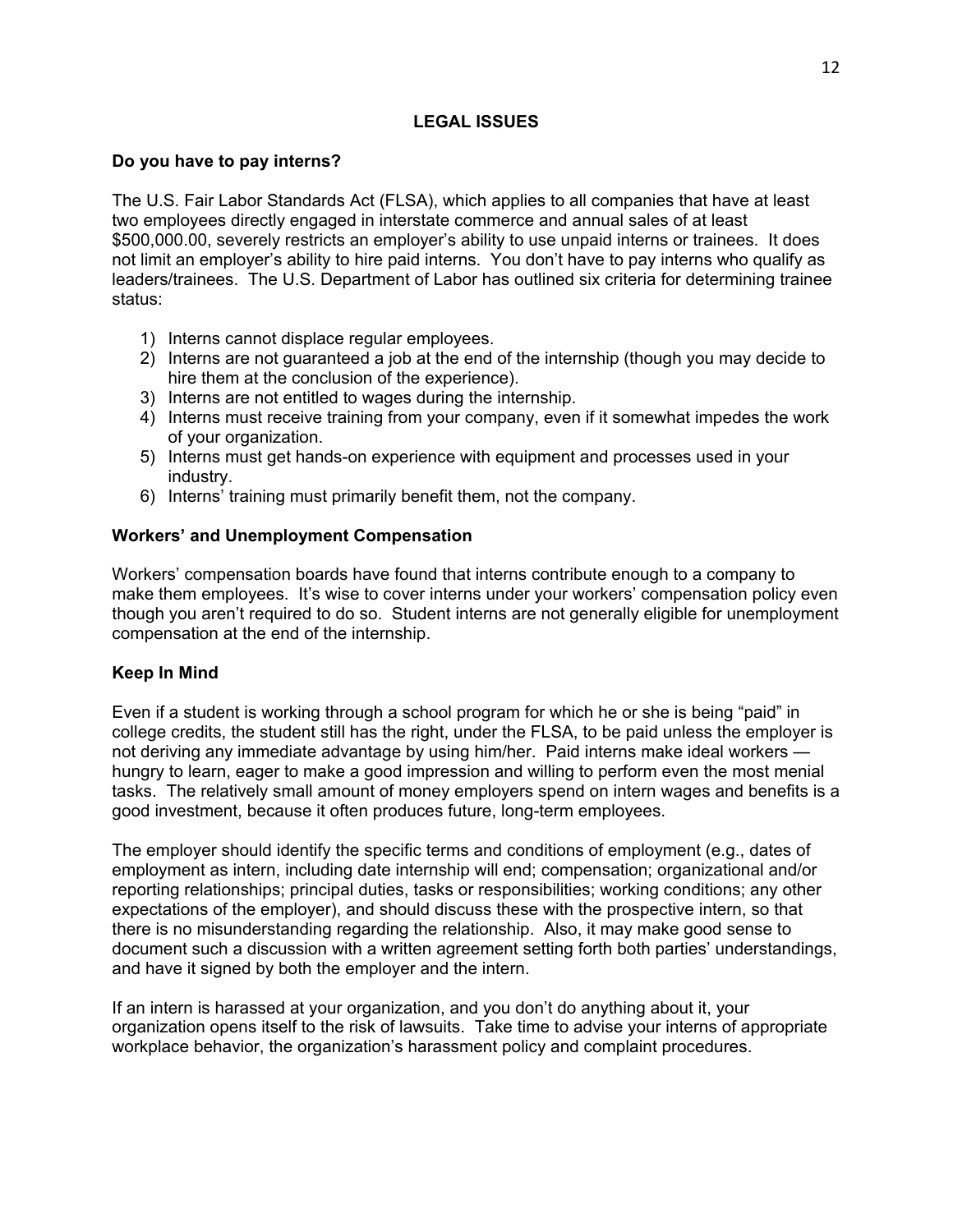## **LEGAL ISSUES**

## **Do you have to pay interns?**

The U.S. Fair Labor Standards Act (FLSA), which applies to all companies that have at least two employees directly engaged in interstate commerce and annual sales of at least \$500,000.00, severely restricts an employer's ability to use unpaid interns or trainees. It does not limit an employer's ability to hire paid interns. You don't have to pay interns who qualify as leaders/trainees. The U.S. Department of Labor has outlined six criteria for determining trainee status:

- 1) Interns cannot displace regular employees.
- 2) Interns are not guaranteed a job at the end of the internship (though you may decide to hire them at the conclusion of the experience).
- 3) Interns are not entitled to wages during the internship.
- 4) Interns must receive training from your company, even if it somewhat impedes the work of your organization.
- 5) Interns must get hands-on experience with equipment and processes used in your industry.
- 6) Interns' training must primarily benefit them, not the company.

# **Workers' and Unemployment Compensation**

Workers' compensation boards have found that interns contribute enough to a company to make them employees. It's wise to cover interns under your workers' compensation policy even though you aren't required to do so. Student interns are not generally eligible for unemployment compensation at the end of the internship.

## **Keep In Mind**

Even if a student is working through a school program for which he or she is being "paid" in college credits, the student still has the right, under the FLSA, to be paid unless the employer is not deriving any immediate advantage by using him/her. Paid interns make ideal workers hungry to learn, eager to make a good impression and willing to perform even the most menial tasks. The relatively small amount of money employers spend on intern wages and benefits is a good investment, because it often produces future, long-term employees.

The employer should identify the specific terms and conditions of employment (e.g., dates of employment as intern, including date internship will end; compensation; organizational and/or reporting relationships; principal duties, tasks or responsibilities; working conditions; any other expectations of the employer), and should discuss these with the prospective intern, so that there is no misunderstanding regarding the relationship. Also, it may make good sense to document such a discussion with a written agreement setting forth both parties' understandings, and have it signed by both the employer and the intern.

If an intern is harassed at your organization, and you don't do anything about it, your organization opens itself to the risk of lawsuits. Take time to advise your interns of appropriate workplace behavior, the organization's harassment policy and complaint procedures.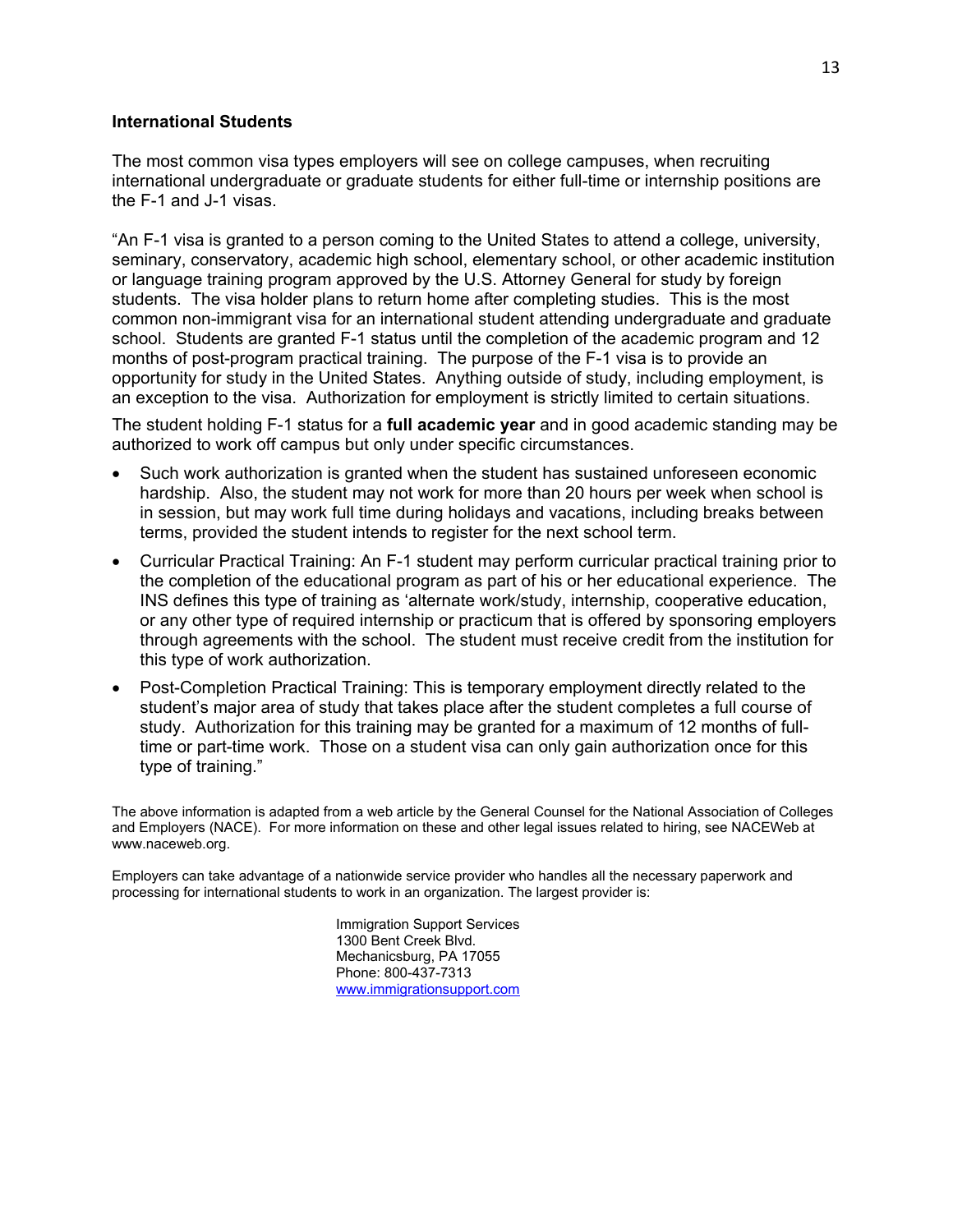#### **International Students**

The most common visa types employers will see on college campuses, when recruiting international undergraduate or graduate students for either full-time or internship positions are the F-1 and J-1 visas.

"An F-1 visa is granted to a person coming to the United States to attend a college, university, seminary, conservatory, academic high school, elementary school, or other academic institution or language training program approved by the U.S. Attorney General for study by foreign students. The visa holder plans to return home after completing studies. This is the most common non-immigrant visa for an international student attending undergraduate and graduate school. Students are granted F-1 status until the completion of the academic program and 12 months of post-program practical training. The purpose of the F-1 visa is to provide an opportunity for study in the United States. Anything outside of study, including employment, is an exception to the visa. Authorization for employment is strictly limited to certain situations.

The student holding F-1 status for a **full academic year** and in good academic standing may be authorized to work off campus but only under specific circumstances.

- Such work authorization is granted when the student has sustained unforeseen economic hardship. Also, the student may not work for more than 20 hours per week when school is in session, but may work full time during holidays and vacations, including breaks between terms, provided the student intends to register for the next school term.
- Curricular Practical Training: An F-1 student may perform curricular practical training prior to the completion of the educational program as part of his or her educational experience. The INS defines this type of training as 'alternate work/study, internship, cooperative education, or any other type of required internship or practicum that is offered by sponsoring employers through agreements with the school. The student must receive credit from the institution for this type of work authorization.
- Post-Completion Practical Training: This is temporary employment directly related to the student's major area of study that takes place after the student completes a full course of study. Authorization for this training may be granted for a maximum of 12 months of fulltime or part-time work. Those on a student visa can only gain authorization once for this type of training."

The above information is adapted from a web article by the General Counsel for the National Association of Colleges and Employers (NACE). For more information on these and other legal issues related to hiring, see NACEWeb at www.naceweb.org.

Employers can take advantage of a nationwide service provider who handles all the necessary paperwork and processing for international students to work in an organization. The largest provider is:

> Immigration Support Services 1300 Bent Creek Blvd. Mechanicsburg, PA 17055 Phone: 800-437-7313 [www.immigrationsupport.com](http://www.immigrationsupport.com/)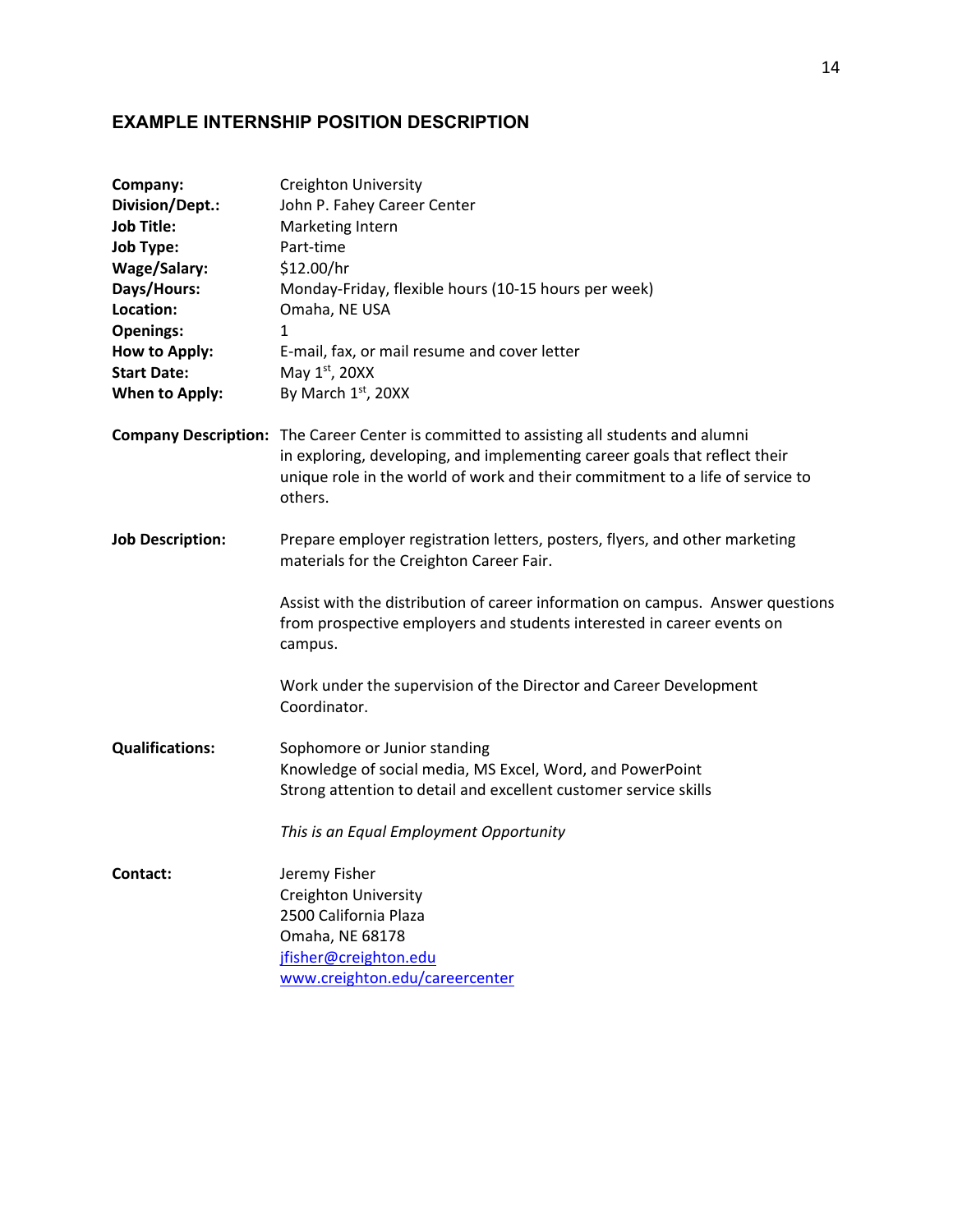# **EXAMPLE INTERNSHIP POSITION DESCRIPTION**

| in exploring, developing, and implementing career goals that reflect their<br>unique role in the world of work and their commitment to a life of service to |
|-------------------------------------------------------------------------------------------------------------------------------------------------------------|
| Prepare employer registration letters, posters, flyers, and other marketing                                                                                 |
| Assist with the distribution of career information on campus. Answer questions<br>from prospective employers and students interested in career events on    |
|                                                                                                                                                             |
|                                                                                                                                                             |
|                                                                                                                                                             |
|                                                                                                                                                             |
|                                                                                                                                                             |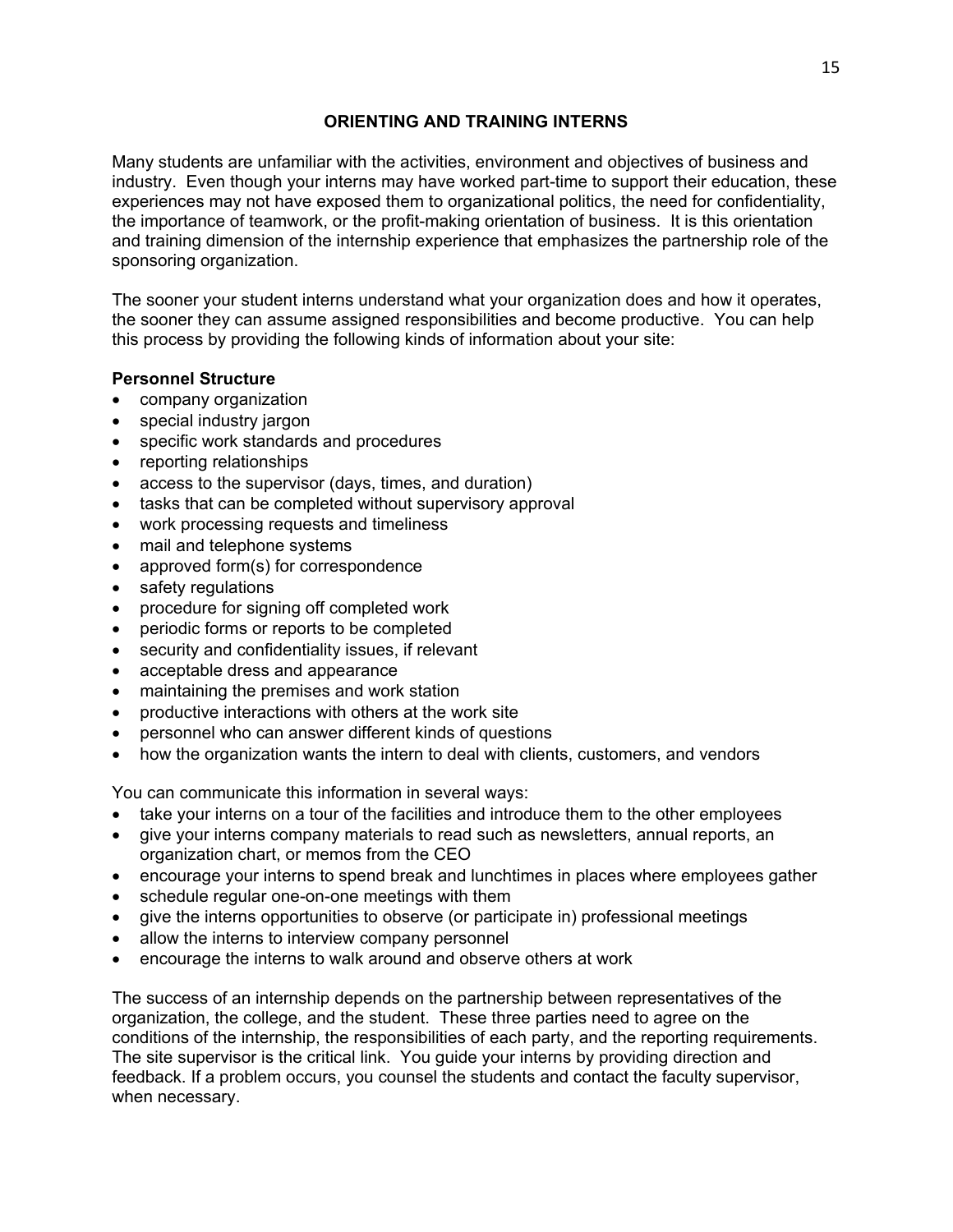## **ORIENTING AND TRAINING INTERNS**

Many students are unfamiliar with the activities, environment and objectives of business and industry. Even though your interns may have worked part-time to support their education, these experiences may not have exposed them to organizational politics, the need for confidentiality, the importance of teamwork, or the profit-making orientation of business. It is this orientation and training dimension of the internship experience that emphasizes the partnership role of the sponsoring organization.

The sooner your student interns understand what your organization does and how it operates, the sooner they can assume assigned responsibilities and become productive. You can help this process by providing the following kinds of information about your site:

#### **Personnel Structure**

- company organization
- special industry jargon
- specific work standards and procedures
- reporting relationships
- access to the supervisor (days, times, and duration)
- tasks that can be completed without supervisory approval
- work processing requests and timeliness
- mail and telephone systems
- approved form(s) for correspondence
- safety regulations
- procedure for signing off completed work
- periodic forms or reports to be completed
- security and confidentiality issues, if relevant
- acceptable dress and appearance
- maintaining the premises and work station
- productive interactions with others at the work site
- personnel who can answer different kinds of questions
- how the organization wants the intern to deal with clients, customers, and vendors

You can communicate this information in several ways:

- take your interns on a tour of the facilities and introduce them to the other employees
- give your interns company materials to read such as newsletters, annual reports, an organization chart, or memos from the CEO
- encourage your interns to spend break and lunchtimes in places where employees gather
- schedule regular one-on-one meetings with them
- give the interns opportunities to observe (or participate in) professional meetings
- allow the interns to interview company personnel
- encourage the interns to walk around and observe others at work

The success of an internship depends on the partnership between representatives of the organization, the college, and the student. These three parties need to agree on the conditions of the internship, the responsibilities of each party, and the reporting requirements. The site supervisor is the critical link. You guide your interns by providing direction and feedback. If a problem occurs, you counsel the students and contact the faculty supervisor, when necessary.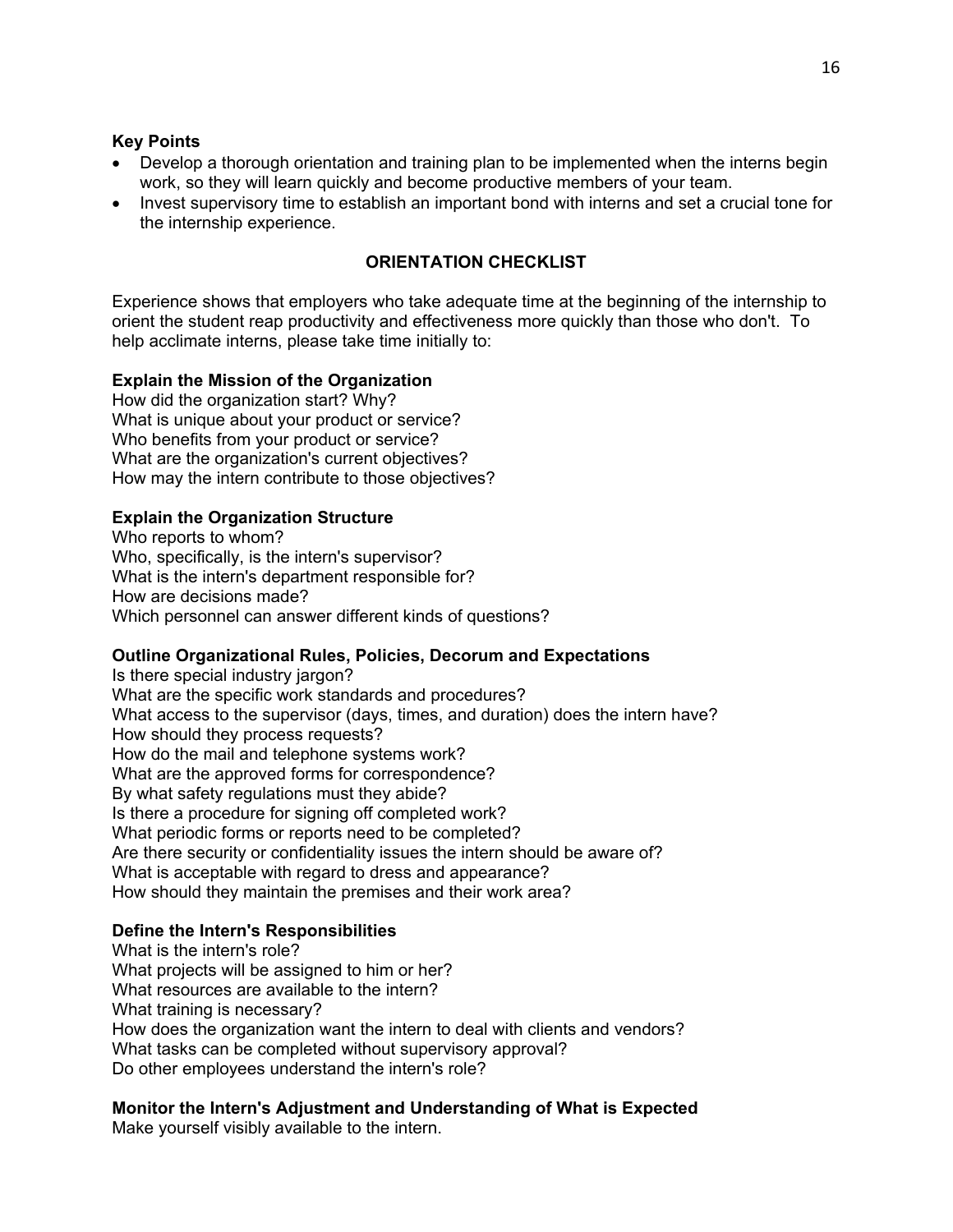#### **Key Points**

- Develop a thorough orientation and training plan to be implemented when the interns begin work, so they will learn quickly and become productive members of your team.
- Invest supervisory time to establish an important bond with interns and set a crucial tone for the internship experience.

#### **ORIENTATION CHECKLIST**

Experience shows that employers who take adequate time at the beginning of the internship to orient the student reap productivity and effectiveness more quickly than those who don't. To help acclimate interns, please take time initially to:

#### **Explain the Mission of the Organization**

How did the organization start? Why? What is unique about your product or service? Who benefits from your product or service? What are the organization's current objectives? How may the intern contribute to those objectives?

#### **Explain the Organization Structure**

Who reports to whom? Who, specifically, is the intern's supervisor? What is the intern's department responsible for? How are decisions made? Which personnel can answer different kinds of questions?

## **Outline Organizational Rules, Policies, Decorum and Expectations**

Is there special industry jargon? What are the specific work standards and procedures? What access to the supervisor (days, times, and duration) does the intern have? How should they process requests? How do the mail and telephone systems work? What are the approved forms for correspondence? By what safety regulations must they abide? Is there a procedure for signing off completed work? What periodic forms or reports need to be completed? Are there security or confidentiality issues the intern should be aware of? What is acceptable with regard to dress and appearance? How should they maintain the premises and their work area?

## **Define the Intern's Responsibilities**

What is the intern's role? What projects will be assigned to him or her? What resources are available to the intern? What training is necessary? How does the organization want the intern to deal with clients and vendors? What tasks can be completed without supervisory approval? Do other employees understand the intern's role?

#### **Monitor the Intern's Adjustment and Understanding of What is Expected**  Make yourself visibly available to the intern.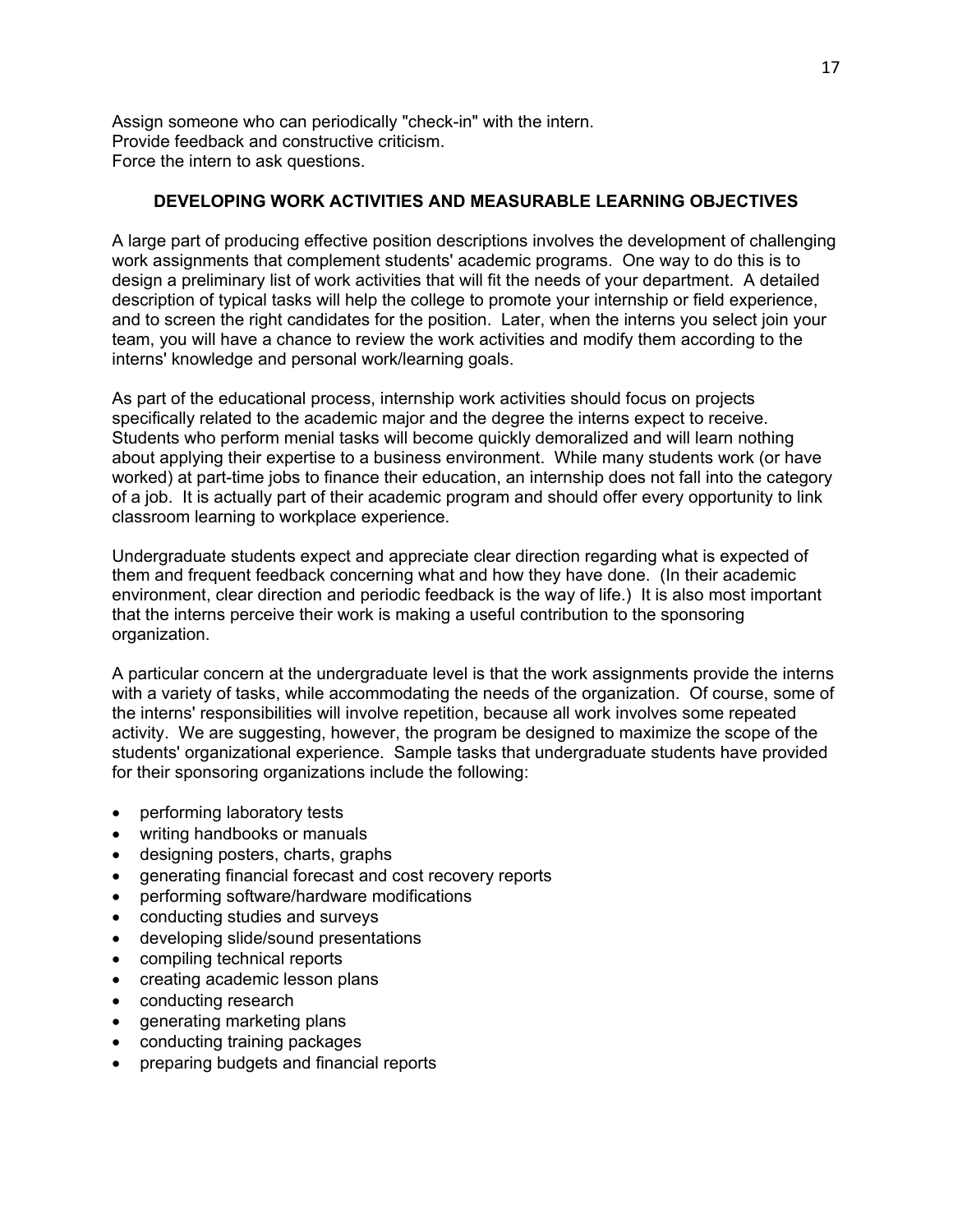Assign someone who can periodically "check-in" with the intern. Provide feedback and constructive criticism. Force the intern to ask questions.

#### **DEVELOPING WORK ACTIVITIES AND MEASURABLE LEARNING OBJECTIVES**

A large part of producing effective position descriptions involves the development of challenging work assignments that complement students' academic programs. One way to do this is to design a preliminary list of work activities that will fit the needs of your department. A detailed description of typical tasks will help the college to promote your internship or field experience, and to screen the right candidates for the position. Later, when the interns you select join your team, you will have a chance to review the work activities and modify them according to the interns' knowledge and personal work/learning goals.

As part of the educational process, internship work activities should focus on projects specifically related to the academic major and the degree the interns expect to receive. Students who perform menial tasks will become quickly demoralized and will learn nothing about applying their expertise to a business environment. While many students work (or have worked) at part-time jobs to finance their education, an internship does not fall into the category of a job. It is actually part of their academic program and should offer every opportunity to link classroom learning to workplace experience.

Undergraduate students expect and appreciate clear direction regarding what is expected of them and frequent feedback concerning what and how they have done. (In their academic environment, clear direction and periodic feedback is the way of life.) It is also most important that the interns perceive their work is making a useful contribution to the sponsoring organization.

A particular concern at the undergraduate level is that the work assignments provide the interns with a variety of tasks, while accommodating the needs of the organization. Of course, some of the interns' responsibilities will involve repetition, because all work involves some repeated activity. We are suggesting, however, the program be designed to maximize the scope of the students' organizational experience. Sample tasks that undergraduate students have provided for their sponsoring organizations include the following:

- performing laboratory tests
- writing handbooks or manuals
- designing posters, charts, graphs
- generating financial forecast and cost recovery reports
- performing software/hardware modifications
- conducting studies and surveys
- developing slide/sound presentations
- compiling technical reports
- creating academic lesson plans
- conducting research
- generating marketing plans
- conducting training packages
- preparing budgets and financial reports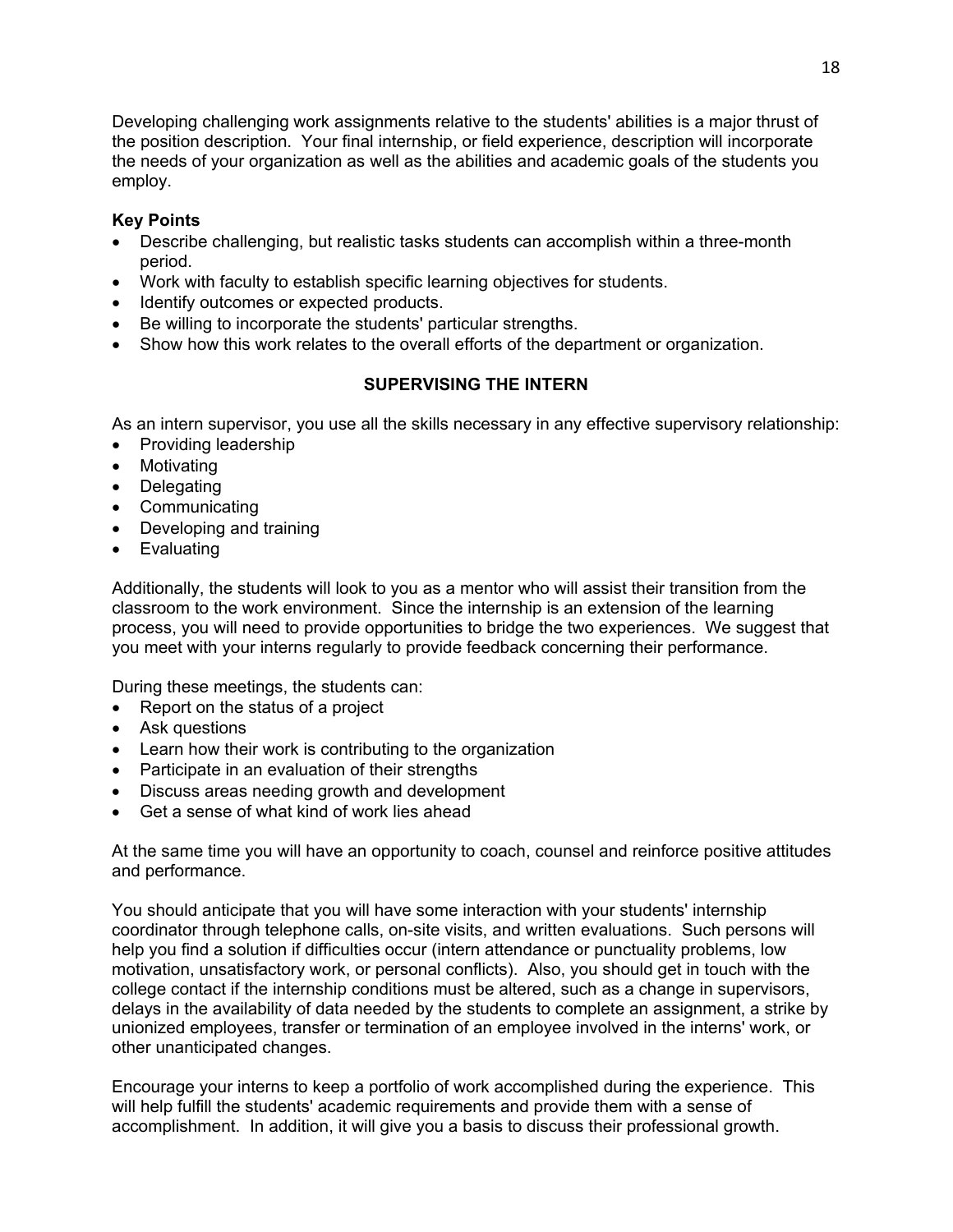Developing challenging work assignments relative to the students' abilities is a major thrust of the position description. Your final internship, or field experience, description will incorporate the needs of your organization as well as the abilities and academic goals of the students you employ.

## **Key Points**

- Describe challenging, but realistic tasks students can accomplish within a three-month period.
- Work with faculty to establish specific learning objectives for students.
- Identify outcomes or expected products.
- Be willing to incorporate the students' particular strengths.
- Show how this work relates to the overall efforts of the department or organization.

# **SUPERVISING THE INTERN**

As an intern supervisor, you use all the skills necessary in any effective supervisory relationship:

- Providing leadership
- Motivating
- Delegating
- Communicating
- Developing and training
- Evaluating

Additionally, the students will look to you as a mentor who will assist their transition from the classroom to the work environment. Since the internship is an extension of the learning process, you will need to provide opportunities to bridge the two experiences. We suggest that you meet with your interns regularly to provide feedback concerning their performance.

During these meetings, the students can:

- Report on the status of a project
- Ask questions
- Learn how their work is contributing to the organization
- Participate in an evaluation of their strengths
- Discuss areas needing growth and development
- Get a sense of what kind of work lies ahead

At the same time you will have an opportunity to coach, counsel and reinforce positive attitudes and performance.

You should anticipate that you will have some interaction with your students' internship coordinator through telephone calls, on-site visits, and written evaluations. Such persons will help you find a solution if difficulties occur (intern attendance or punctuality problems, low motivation, unsatisfactory work, or personal conflicts). Also, you should get in touch with the college contact if the internship conditions must be altered, such as a change in supervisors, delays in the availability of data needed by the students to complete an assignment, a strike by unionized employees, transfer or termination of an employee involved in the interns' work, or other unanticipated changes.

Encourage your interns to keep a portfolio of work accomplished during the experience. This will help fulfill the students' academic requirements and provide them with a sense of accomplishment. In addition, it will give you a basis to discuss their professional growth.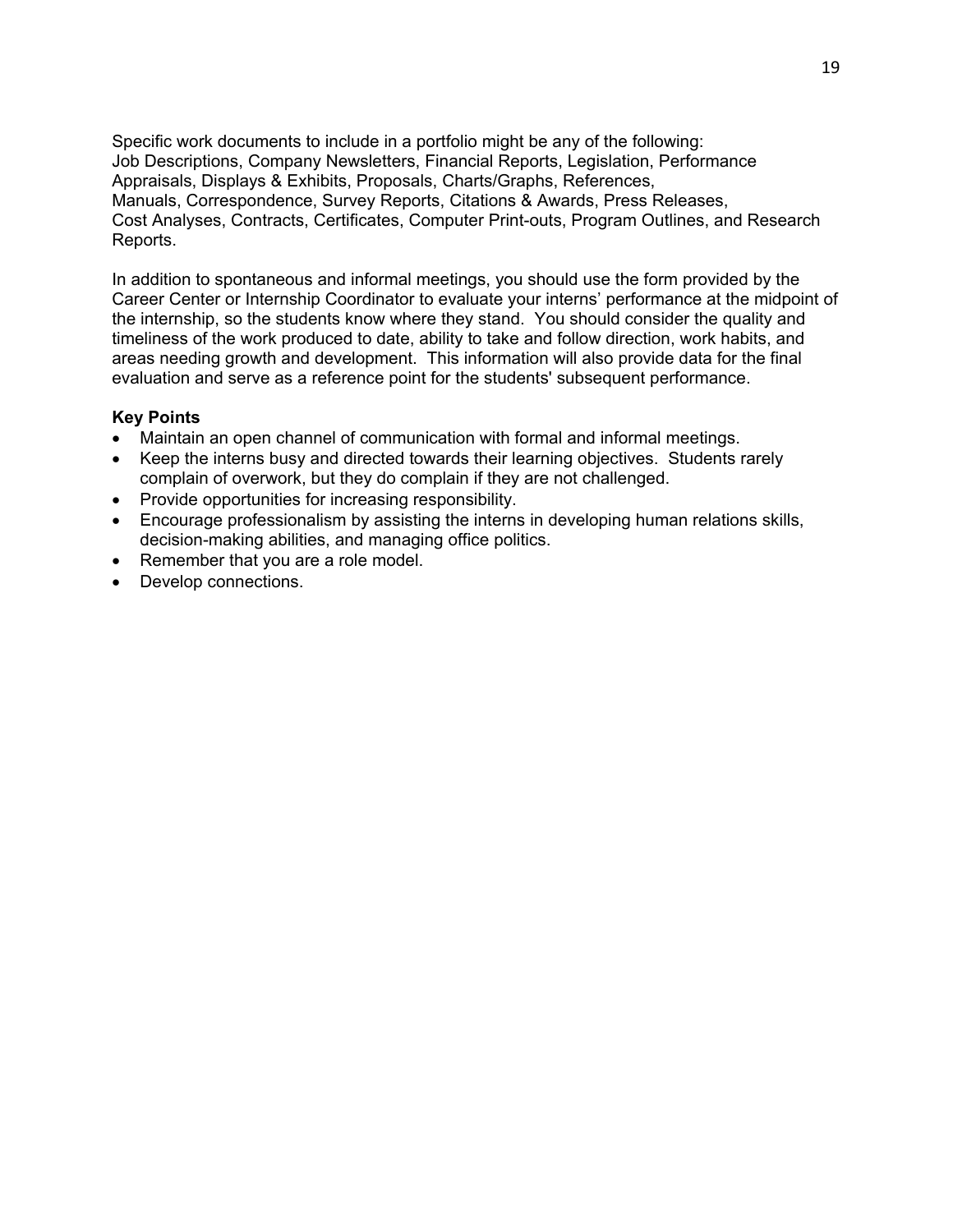Specific work documents to include in a portfolio might be any of the following: Job Descriptions, Company Newsletters, Financial Reports, Legislation, Performance Appraisals, Displays & Exhibits, Proposals, Charts/Graphs, References, Manuals, Correspondence, Survey Reports, Citations & Awards, Press Releases, Cost Analyses, Contracts, Certificates, Computer Print-outs, Program Outlines, and Research Reports.

In addition to spontaneous and informal meetings, you should use the form provided by the Career Center or Internship Coordinator to evaluate your interns' performance at the midpoint of the internship, so the students know where they stand. You should consider the quality and timeliness of the work produced to date, ability to take and follow direction, work habits, and areas needing growth and development. This information will also provide data for the final evaluation and serve as a reference point for the students' subsequent performance.

#### **Key Points**

- Maintain an open channel of communication with formal and informal meetings.
- Keep the interns busy and directed towards their learning objectives. Students rarely complain of overwork, but they do complain if they are not challenged.
- Provide opportunities for increasing responsibility.
- Encourage professionalism by assisting the interns in developing human relations skills, decision-making abilities, and managing office politics.
- Remember that you are a role model.
- Develop connections.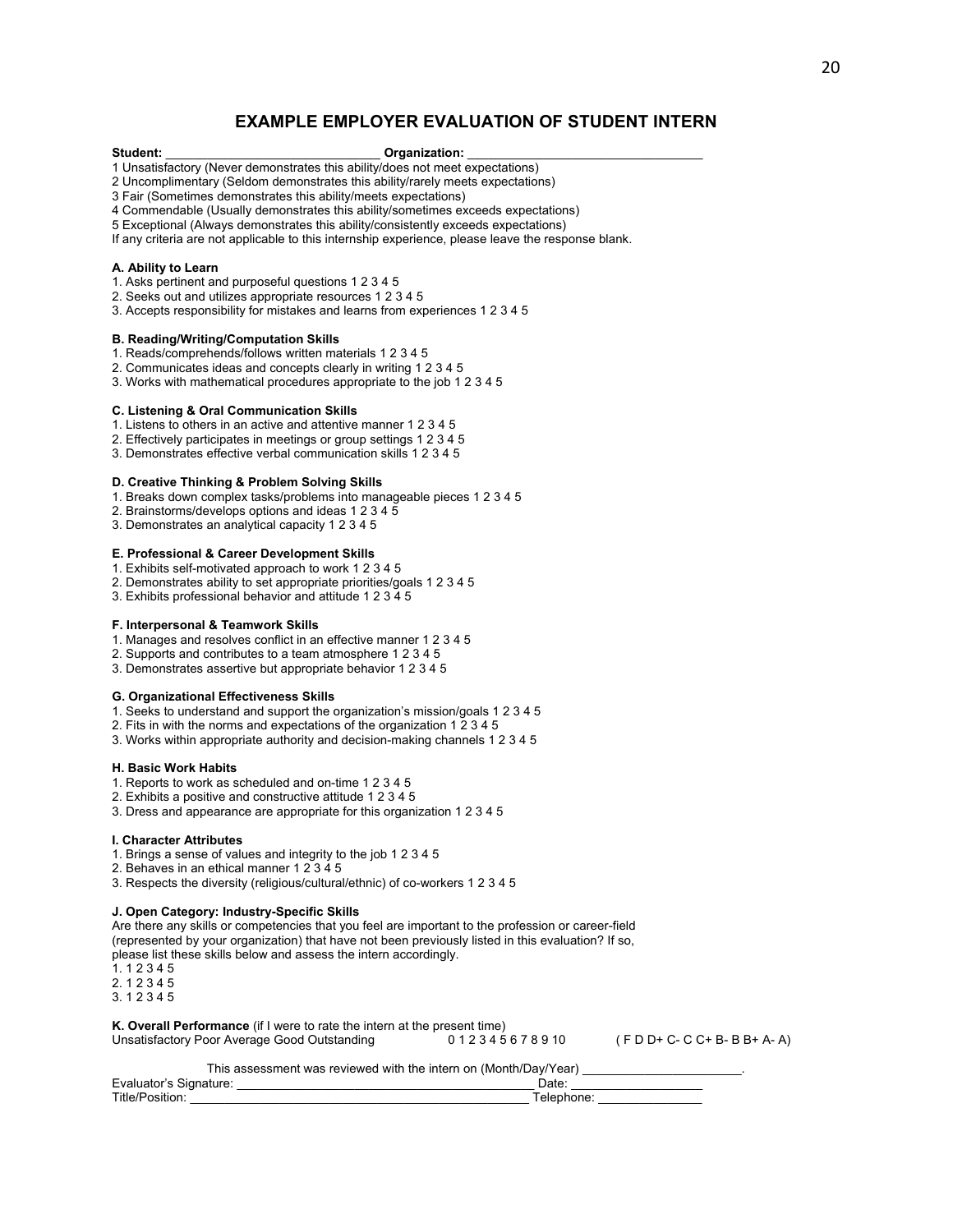#### **EXAMPLE EMPLOYER EVALUATION OF STUDENT INTERN**

#### **Student:** \_\_\_\_\_\_\_\_\_\_\_\_\_\_\_\_\_\_\_\_\_\_\_\_\_\_\_\_\_\_\_ **Organization:** \_\_\_\_\_\_\_\_\_\_\_\_\_\_\_\_\_\_\_\_\_\_\_\_\_\_\_\_\_\_\_\_\_\_

1 Unsatisfactory (Never demonstrates this ability/does not meet expectations)

2 Uncomplimentary (Seldom demonstrates this ability/rarely meets expectations)

3 Fair (Sometimes demonstrates this ability/meets expectations)

4 Commendable (Usually demonstrates this ability/sometimes exceeds expectations)

5 Exceptional (Always demonstrates this ability/consistently exceeds expectations)

If any criteria are not applicable to this internship experience, please leave the response blank.

#### **A. Ability to Learn**

- 1. Asks pertinent and purposeful questions 1 2 3 4 5
- 2. Seeks out and utilizes appropriate resources 1 2 3 4 5
- 3. Accepts responsibility for mistakes and learns from experiences 1 2 3 4 5

#### **B. Reading/Writing/Computation Skills**

- 1. Reads/comprehends/follows written materials 1 2 3 4 5
- 2. Communicates ideas and concepts clearly in writing 1 2 3 4 5
- 3. Works with mathematical procedures appropriate to the job 1 2 3 4 5

#### **C. Listening & Oral Communication Skills**

- 1. Listens to others in an active and attentive manner 1 2 3 4 5
- 2. Effectively participates in meetings or group settings 1 2 3 4 5
- 3. Demonstrates effective verbal communication skills 1 2 3 4 5

#### **D. Creative Thinking & Problem Solving Skills**

- 1. Breaks down complex tasks/problems into manageable pieces 1 2 3 4 5
- 2. Brainstorms/develops options and ideas 1 2 3 4 5
- 3. Demonstrates an analytical capacity 1 2 3 4 5

#### **E. Professional & Career Development Skills**

- 1. Exhibits self-motivated approach to work 1 2 3 4 5
- 2. Demonstrates ability to set appropriate priorities/goals 1 2 3 4 5
- 3. Exhibits professional behavior and attitude 1 2 3 4 5

#### **F. Interpersonal & Teamwork Skills**

- 1. Manages and resolves conflict in an effective manner 1 2 3 4 5
- 2. Supports and contributes to a team atmosphere 1 2 3 4 5
- 3. Demonstrates assertive but appropriate behavior 1 2 3 4 5

#### **G. Organizational Effectiveness Skills**

- 1. Seeks to understand and support the organization's mission/goals 1 2 3 4 5
- 2. Fits in with the norms and expectations of the organization 1 2 3 4 5
- 3. Works within appropriate authority and decision-making channels 1 2 3 4 5

#### **H. Basic Work Habits**

- 1. Reports to work as scheduled and on-time 1 2 3 4 5
- 2. Exhibits a positive and constructive attitude 1 2 3 4 5
- 3. Dress and appearance are appropriate for this organization 1 2 3 4 5

#### **I. Character Attributes**

- 1. Brings a sense of values and integrity to the job 1 2 3 4 5
- 2. Behaves in an ethical manner 1 2 3 4 5
- 3. Respects the diversity (religious/cultural/ethnic) of co-workers 1 2 3 4 5

#### **J. Open Category: Industry-Specific Skills**

Are there any skills or competencies that you feel are important to the profession or career-field (represented by your organization) that have not been previously listed in this evaluation? If so, please list these skills below and assess the intern accordingly.

1. 1 2 3 4 5

2. 1 2 3 4 5

3. 1 2 3 4 5

**K. Overall Performance** (if I were to rate the intern at the present time)<br>Unsatisfactory Poor Average Good Outstanding 0 1 2 3 4 5 6 7 8 9 10

Unsatisfactory Poor Average Good Outstanding  $0 1 2 3 4 5 6 7 8 9 10$  (F D D+ C- C C+ B- B B+ A- A)

This assessment was reviewed with the intern on (Month/Day/Year)

| $\overline{\phantom{0}}$<br>⊢va<br>шаюг<br>ышаше |  |
|--------------------------------------------------|--|
| Title.                                           |  |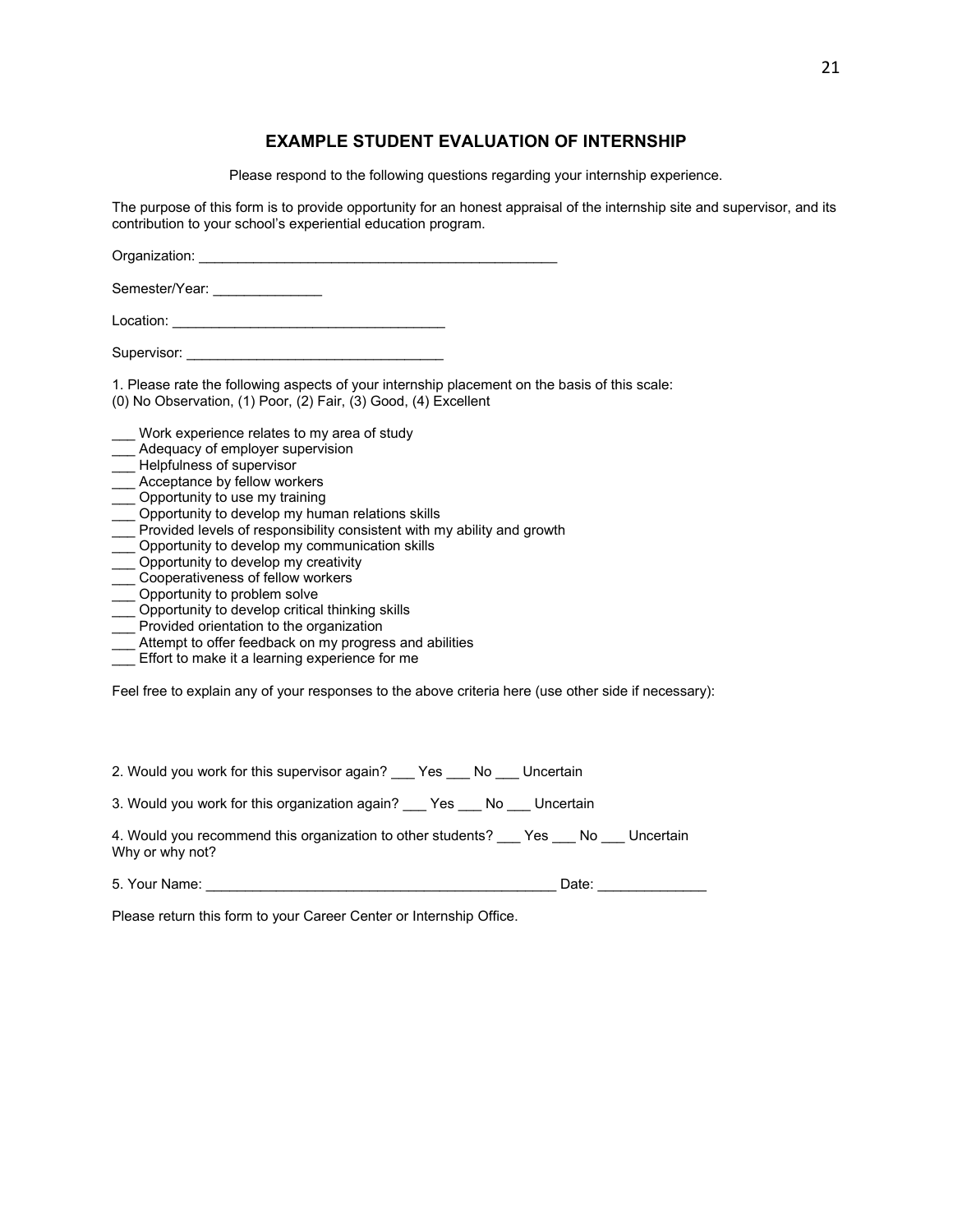#### **EXAMPLE STUDENT EVALUATION OF INTERNSHIP**

Please respond to the following questions regarding your internship experience.

The purpose of this form is to provide opportunity for an honest appraisal of the internship site and supervisor, and its contribution to your school's experiential education program.

Organization:

Semester/Year:

Location: **Location: Location:** 

Supervisor:

1. Please rate the following aspects of your internship placement on the basis of this scale: (0) No Observation, (1) Poor, (2) Fair, (3) Good, (4) Excellent

Work experience relates to my area of study

- \_\_\_ Adequacy of employer supervision
- \_\_\_ Helpfulness of supervisor
- \_\_\_ Acceptance by fellow workers
- \_\_\_ Opportunity to use my training
- \_\_\_ Opportunity to develop my human relations skills
- \_\_\_ Provided levels of responsibility consistent with my ability and growth
- \_\_\_ Opportunity to develop my communication skills
- \_\_\_ Opportunity to develop my creativity
- \_\_\_ Cooperativeness of fellow workers
- \_\_\_ Opportunity to problem solve
- \_\_\_ Opportunity to develop critical thinking skills
- \_\_\_ Provided orientation to the organization
- \_\_\_ Attempt to offer feedback on my progress and abilities
- \_\_\_ Effort to make it a learning experience for me

Feel free to explain any of your responses to the above criteria here (use other side if necessary):

2. Would you work for this supervisor again? Yes No Uncertain

3. Would you work for this organization again? \_\_\_ Yes \_\_\_ No \_\_\_ Uncertain

4. Would you recommend this organization to other students? Yes No Uncertain Why or why not?

5. Your Name: \_\_\_\_\_\_\_\_\_\_\_\_\_\_\_\_\_\_\_\_\_\_\_\_\_\_\_\_\_\_\_\_\_\_\_\_\_\_\_\_\_\_\_\_\_ Date: \_\_\_\_\_\_\_\_\_\_\_\_\_\_

Please return this form to your Career Center or Internship Office.